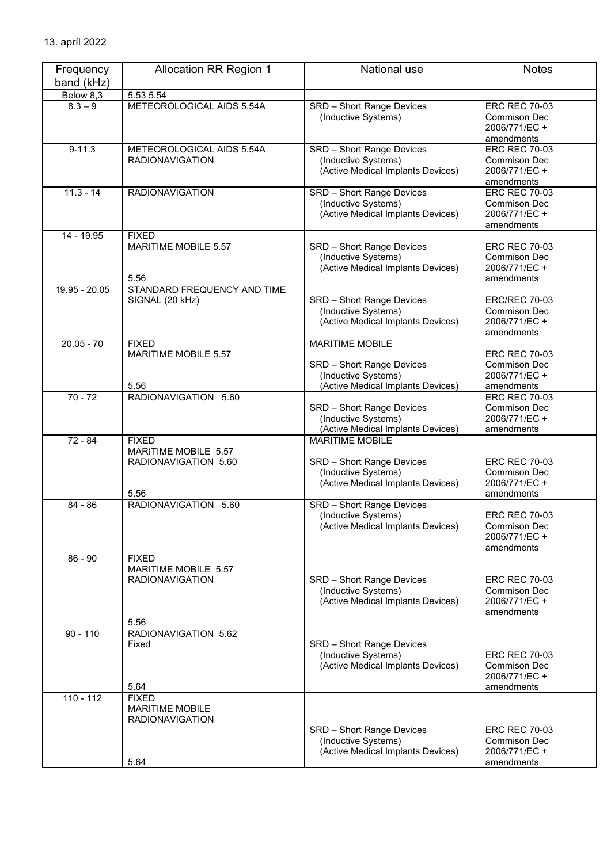| Frequency<br>band (kHz) | <b>Allocation RR Region 1</b>                                            | National use                                                                                                    | <b>Notes</b>                                                               |
|-------------------------|--------------------------------------------------------------------------|-----------------------------------------------------------------------------------------------------------------|----------------------------------------------------------------------------|
| Below 8,3               | 5.53 5.54                                                                |                                                                                                                 |                                                                            |
| $8.3 - 9$               | METEOROLOGICAL AIDS 5.54A                                                | SRD - Short Range Devices<br>(Inductive Systems)                                                                | <b>ERC REC 70-03</b><br>Commison Dec<br>2006/771/EC+<br>amendments         |
| $9 - 11.3$              | METEOROLOGICAL AIDS 5.54A<br><b>RADIONAVIGATION</b>                      | SRD - Short Range Devices<br>(Inductive Systems)<br>(Active Medical Implants Devices)                           | <b>ERC REC 70-03</b><br>Commison Dec<br>2006/771/EC +<br>amendments        |
| $11.3 - 14$             | <b>RADIONAVIGATION</b>                                                   | <b>SRD</b> - Short Range Devices<br>(Inductive Systems)<br>(Active Medical Implants Devices)                    | <b>ERC REC 70-03</b><br>Commison Dec<br>2006/771/EC +<br>amendments        |
| 14 - 19.95              | <b>FIXED</b><br>MARITIME MOBILE 5.57<br>5.56                             | SRD - Short Range Devices<br>(Inductive Systems)<br>(Active Medical Implants Devices)                           | <b>ERC REC 70-03</b><br>Commison Dec<br>2006/771/EC +<br>amendments        |
| 19.95 - 20.05           | STANDARD FREQUENCY AND TIME<br>SIGNAL (20 kHz)                           | SRD - Short Range Devices<br>(Inductive Systems)<br>(Active Medical Implants Devices)                           | <b>ERC/REC 70-03</b><br>Commison Dec<br>2006/771/EC +<br>amendments        |
| $20.05 - 70$            | <b>FIXED</b><br>MARITIME MOBILE 5.57<br>5.56                             | <b>MARITIME MOBILE</b><br>SRD - Short Range Devices<br>(Inductive Systems)<br>(Active Medical Implants Devices) | <b>ERC REC 70-03</b><br><b>Commison Dec</b><br>2006/771/EC+<br>amendments  |
| $70 - 72$               | RADIONAVIGATION 5.60                                                     | SRD - Short Range Devices<br>(Inductive Systems)<br>(Active Medical Implants Devices)                           | <b>ERC REC 70-03</b><br>Commison Dec<br>2006/771/EC+<br>amendments         |
| $72 - 84$               | <b>FIXED</b><br>MARITIME MOBILE 5.57<br>RADIONAVIGATION 5.60<br>5.56     | <b>MARITIME MOBILE</b><br>SRD - Short Range Devices<br>(Inductive Systems)<br>(Active Medical Implants Devices) | <b>ERC REC 70-03</b><br><b>Commison Dec</b><br>2006/771/EC +<br>amendments |
| $84 - 86$               | RADIONAVIGATION 5.60                                                     | SRD - Short Range Devices<br>(Inductive Systems)<br>(Active Medical Implants Devices)                           | <b>ERC REC 70-03</b><br>Commison Dec<br>2006/771/EC +<br>amendments        |
| $86 - 90$               | <b>FIXED</b><br>MARITIME MOBILE 5.57<br><b>RADIONAVIGATION</b><br>5.56   | SRD - Short Range Devices<br>(Inductive Systems)<br>(Active Medical Implants Devices)                           | <b>ERC REC 70-03</b><br>Commison Dec<br>2006/771/EC+<br>amendments         |
| $90 - 110$              | RADIONAVIGATION 5.62<br>Fixed<br>5.64                                    | SRD - Short Range Devices<br>(Inductive Systems)<br>(Active Medical Implants Devices)                           | <b>ERC REC 70-03</b><br><b>Commison Dec</b><br>2006/771/EC+<br>amendments  |
| $110 - 112$             | <b>FIXED</b><br><b>MARITIME MOBILE</b><br><b>RADIONAVIGATION</b><br>5.64 | SRD - Short Range Devices<br>(Inductive Systems)<br>(Active Medical Implants Devices)                           | <b>ERC REC 70-03</b><br><b>Commison Dec</b><br>2006/771/EC+<br>amendments  |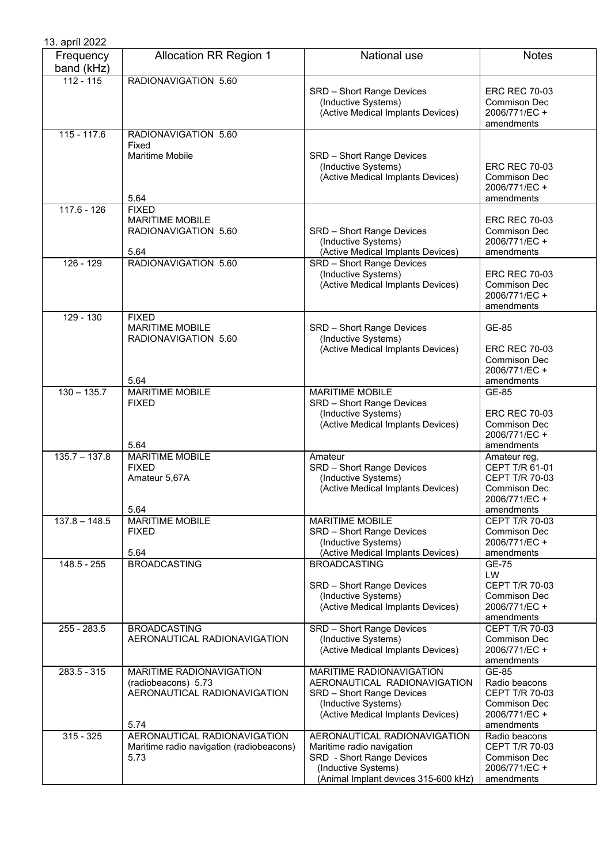| 13. apríl 2022          |                                                                                         |                                                                                                                                                       |                                                                                                        |
|-------------------------|-----------------------------------------------------------------------------------------|-------------------------------------------------------------------------------------------------------------------------------------------------------|--------------------------------------------------------------------------------------------------------|
| Frequency<br>band (kHz) | <b>Allocation RR Region 1</b>                                                           | National use                                                                                                                                          | <b>Notes</b>                                                                                           |
| $112 - 115$             | RADIONAVIGATION 5.60                                                                    | SRD - Short Range Devices<br>(Inductive Systems)<br>(Active Medical Implants Devices)                                                                 | <b>ERC REC 70-03</b><br>Commison Dec<br>2006/771/EC +<br>amendments                                    |
| $115 - 117.6$           | RADIONAVIGATION 5.60<br>Fixed<br><b>Maritime Mobile</b><br>5.64                         | SRD - Short Range Devices<br>(Inductive Systems)<br>(Active Medical Implants Devices)                                                                 | <b>ERC REC 70-03</b><br>Commison Dec<br>2006/771/EC +<br>amendments                                    |
| $117.6 - 126$           | <b>FIXED</b><br><b>MARITIME MOBILE</b><br>RADIONAVIGATION 5.60<br>5.64                  | SRD - Short Range Devices<br>(Inductive Systems)<br>(Active Medical Implants Devices)                                                                 | <b>ERC REC 70-03</b><br><b>Commison Dec</b><br>2006/771/EC +<br>amendments                             |
| $126 - 129$             | RADIONAVIGATION 5.60                                                                    | SRD - Short Range Devices<br>(Inductive Systems)<br>(Active Medical Implants Devices)                                                                 | <b>ERC REC 70-03</b><br><b>Commison Dec</b><br>2006/771/EC+<br>amendments                              |
| $129 - 130$             | <b>FIXED</b><br><b>MARITIME MOBILE</b><br>RADIONAVIGATION 5.60<br>5.64                  | SRD - Short Range Devices<br>(Inductive Systems)<br>(Active Medical Implants Devices)                                                                 | GE-85<br><b>ERC REC 70-03</b><br><b>Commison Dec</b><br>2006/771/EC +<br>amendments                    |
| $130 - 135.7$           | <b>MARITIME MOBILE</b><br><b>FIXED</b><br>5.64                                          | <b>MARITIME MOBILE</b><br>SRD - Short Range Devices<br>(Inductive Systems)<br>(Active Medical Implants Devices)                                       | GE-85<br><b>ERC REC 70-03</b><br><b>Commison Dec</b><br>2006/771/EC +<br>amendments                    |
| $135.7 - 137.8$         | <b>MARITIME MOBILE</b><br><b>FIXED</b><br>Amateur 5,67A<br>5.64                         | Amateur<br>SRD - Short Range Devices<br>(Inductive Systems)<br>(Active Medical Implants Devices)                                                      | Amateur reg.<br>CEPT T/R 61-01<br>CEPT T/R 70-03<br><b>Commison Dec</b><br>2006/771/EC +<br>amendments |
| $137.8 - 148.5$         | <b>MARITIME MOBILE</b><br><b>FIXED</b><br>5.64                                          | <b>MARITIME MOBILE</b><br>SRD - Short Range Devices<br>(Inductive Systems)<br>(Active Medical Implants Devices)                                       | CEPT T/R 70-03<br>Commison Dec<br>2006/771/EC +<br>amendments                                          |
| $148.5 - 255$           | <b>BROADCASTING</b>                                                                     | <b>BROADCASTING</b><br>SRD - Short Range Devices<br>(Inductive Systems)<br>(Active Medical Implants Devices)                                          | GE-75<br>LW<br>CEPT T/R 70-03<br>Commison Dec<br>2006/771/EC +<br>amendments                           |
| 255 - 283.5             | <b>BROADCASTING</b><br>AERONAUTICAL RADIONAVIGATION                                     | <b>SRD</b> - Short Range Devices<br>(Inductive Systems)<br>(Active Medical Implants Devices)                                                          | <b>CEPT T/R 70-03</b><br>Commison Dec<br>2006/771/EC +<br>amendments                                   |
| $283.5 - 315$           | MARITIME RADIONAVIGATION<br>(radiobeacons) 5.73<br>AERONAUTICAL RADIONAVIGATION<br>5.74 | MARITIME RADIONAVIGATION<br>AERONAUTICAL RADIONAVIGATION<br>SRD - Short Range Devices<br>(Inductive Systems)<br>(Active Medical Implants Devices)     | GE-85<br>Radio beacons<br>CEPT T/R 70-03<br>Commison Dec<br>2006/771/EC +<br>amendments                |
| $315 - 325$             | AERONAUTICAL RADIONAVIGATION<br>Maritime radio navigation (radiobeacons)<br>5.73        | AERONAUTICAL RADIONAVIGATION<br>Maritime radio navigation<br>SRD - Short Range Devices<br>(Inductive Systems)<br>(Animal Implant devices 315-600 kHz) | Radio beacons<br>CEPT T/R 70-03<br><b>Commison Dec</b><br>2006/771/EC +<br>amendments                  |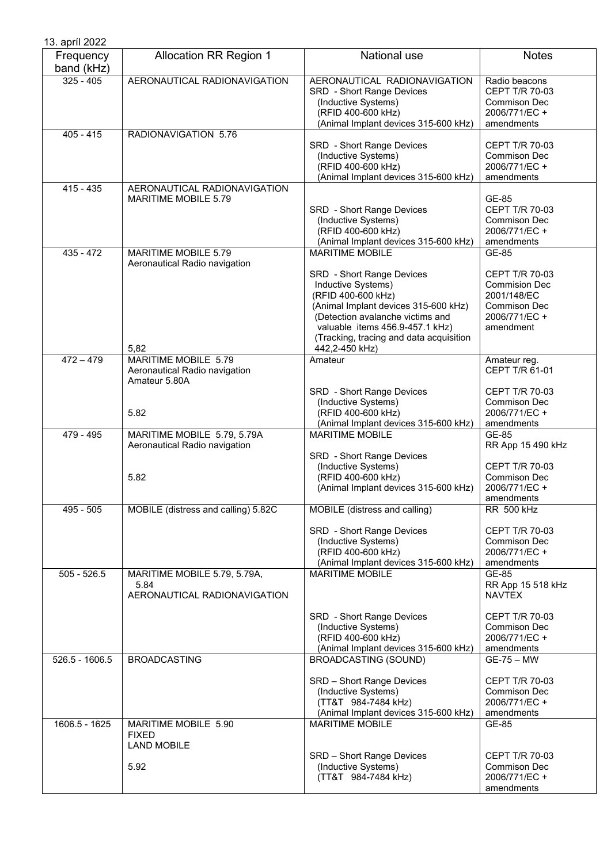| 13. apríl 2022          |                                                                                |                                                                                                                                                                                                                                                                             |                                                                                                              |
|-------------------------|--------------------------------------------------------------------------------|-----------------------------------------------------------------------------------------------------------------------------------------------------------------------------------------------------------------------------------------------------------------------------|--------------------------------------------------------------------------------------------------------------|
| Frequency<br>band (kHz) | <b>Allocation RR Region 1</b>                                                  | National use                                                                                                                                                                                                                                                                | <b>Notes</b>                                                                                                 |
| $325 - 405$             | AERONAUTICAL RADIONAVIGATION                                                   | AERONAUTICAL RADIONAVIGATION<br>SRD - Short Range Devices<br>(Inductive Systems)<br>(RFID 400-600 kHz)<br>(Animal Implant devices 315-600 kHz)                                                                                                                              | Radio beacons<br>CEPT T/R 70-03<br>Commison Dec<br>2006/771/EC +<br>amendments                               |
| $405 - 415$             | RADIONAVIGATION 5.76                                                           | SRD - Short Range Devices<br>(Inductive Systems)<br>(RFID 400-600 kHz)<br>(Animal Implant devices 315-600 kHz)                                                                                                                                                              | CEPT T/R 70-03<br>Commison Dec<br>2006/771/EC +<br>amendments                                                |
| $415 - 435$             | AERONAUTICAL RADIONAVIGATION<br>MARITIME MOBILE 5.79                           | SRD - Short Range Devices<br>(Inductive Systems)<br>(RFID 400-600 kHz)<br>(Animal Implant devices 315-600 kHz)                                                                                                                                                              | GE-85<br>CEPT T/R 70-03<br>Commison Dec<br>2006/771/EC +<br>amendments                                       |
| 435 - 472               | <b>MARITIME MOBILE 5.79</b><br>Aeronautical Radio navigation<br>5,82           | <b>MARITIME MOBILE</b><br>SRD - Short Range Devices<br>Inductive Systems)<br>(RFID 400-600 kHz)<br>(Animal Implant devices 315-600 kHz)<br>(Detection avalanche victims and<br>valuable items 456.9-457.1 kHz)<br>(Tracking, tracing and data acquisition<br>442,2-450 kHz) | GE-85<br>CEPT T/R 70-03<br><b>Commision Dec</b><br>2001/148/EC<br>Commison Dec<br>2006/771/EC +<br>amendment |
| $472 - 479$             | MARITIME MOBILE 5.79<br>Aeronautical Radio navigation<br>Amateur 5.80A<br>5.82 | Amateur<br>SRD - Short Range Devices<br>(Inductive Systems)<br>(RFID 400-600 kHz)<br>(Animal Implant devices 315-600 kHz)                                                                                                                                                   | Amateur reg.<br>CEPT T/R 61-01<br>CEPT T/R 70-03<br><b>Commison Dec</b><br>2006/771/EC +<br>amendments       |
| 479 - 495               | MARITIME MOBILE 5.79, 5.79A<br>Aeronautical Radio navigation<br>5.82           | <b>MARITIME MOBILE</b><br>SRD - Short Range Devices<br>(Inductive Systems)<br>(RFID 400-600 kHz)<br>(Animal Implant devices 315-600 kHz)                                                                                                                                    | GE-85<br>RR App 15 490 kHz<br>CEPT T/R 70-03<br>Commison Dec<br>2006/771/EC +<br>amendments                  |
| 495 - 505               | MOBILE (distress and calling) 5.82C                                            | MOBILE (distress and calling)<br>SRD - Short Range Devices<br>(Inductive Systems)<br>(RFID 400-600 kHz)<br>(Animal Implant devices 315-600 kHz)                                                                                                                             | <b>RR 500 kHz</b><br>CEPT T/R 70-03<br>Commison Dec<br>2006/771/EC +<br>amendments                           |
| $505 - 526.5$           | MARITIME MOBILE 5.79, 5.79A,<br>5.84<br>AERONAUTICAL RADIONAVIGATION           | <b>MARITIME MOBILE</b><br>SRD - Short Range Devices<br>(Inductive Systems)<br>(RFID 400-600 kHz)<br>(Animal Implant devices 315-600 kHz)                                                                                                                                    | GE-85<br>RR App 15 518 kHz<br><b>NAVTEX</b><br>CEPT T/R 70-03<br>Commison Dec<br>2006/771/EC +<br>amendments |
| $526.5 - 1606.5$        | <b>BROADCASTING</b>                                                            | <b>BROADCASTING (SOUND)</b><br>SRD - Short Range Devices<br>(Inductive Systems)<br>(TT&T 984-7484 kHz)<br>(Animal Implant devices 315-600 kHz)                                                                                                                              | <b>GE-75 - MW</b><br>CEPT T/R 70-03<br>Commison Dec<br>2006/771/EC +<br>amendments                           |
| 1606.5 - 1625           | MARITIME MOBILE 5.90<br><b>FIXED</b><br><b>LAND MOBILE</b><br>5.92             | <b>MARITIME MOBILE</b><br>SRD - Short Range Devices<br>(Inductive Systems)<br>(TT&T 984-7484 kHz)                                                                                                                                                                           | GE-85<br><b>CEPT T/R 70-03</b><br><b>Commison Dec</b><br>2006/771/EC +<br>amendments                         |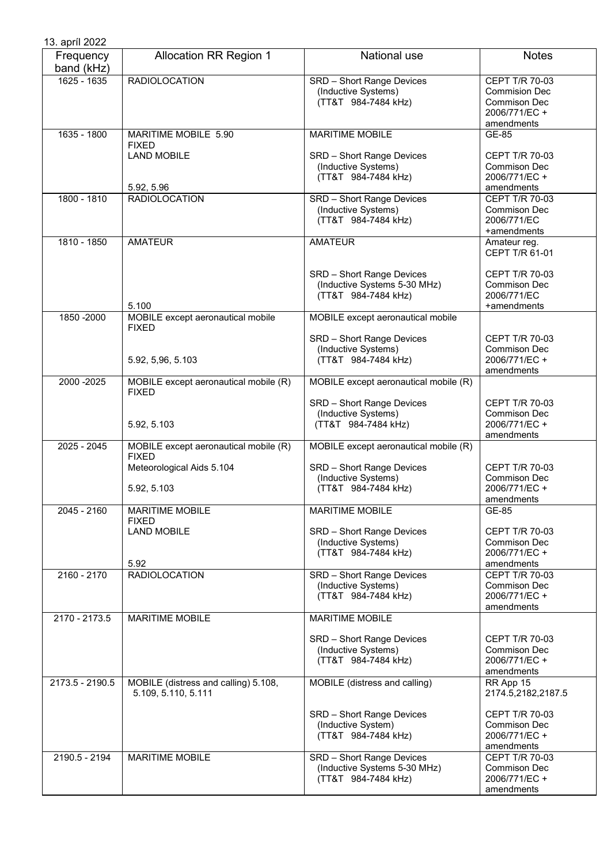| 13. apríl 2022          |                                                                                    |                                                                                         |                                                                                              |
|-------------------------|------------------------------------------------------------------------------------|-----------------------------------------------------------------------------------------|----------------------------------------------------------------------------------------------|
| Frequency<br>band (kHz) | <b>Allocation RR Region 1</b>                                                      | National use                                                                            | <b>Notes</b>                                                                                 |
| 1625 - 1635             | <b>RADIOLOCATION</b>                                                               | SRD - Short Range Devices<br>(Inductive Systems)<br>(TT&T 984-7484 kHz)                 | CEPT T/R 70-03<br><b>Commision Dec</b><br><b>Commison Dec</b><br>2006/771/EC +<br>amendments |
| 1635 - 1800             | MARITIME MOBILE 5.90<br><b>FIXED</b>                                               | <b>MARITIME MOBILE</b>                                                                  | GE-85                                                                                        |
|                         | <b>LAND MOBILE</b><br>5.92, 5.96                                                   | SRD - Short Range Devices<br>(Inductive Systems)<br>(TT&T 984-7484 kHz)                 | CEPT T/R 70-03<br><b>Commison Dec</b><br>2006/771/EC +<br>amendments                         |
| 1800 - 1810             | <b>RADIOLOCATION</b>                                                               | SRD - Short Range Devices<br>(Inductive Systems)<br>(TT&T 984-7484 kHz)                 | CEPT T/R 70-03<br>Commison Dec<br>2006/771/EC<br>+amendments                                 |
| 1810 - 1850             | <b>AMATEUR</b>                                                                     | <b>AMATEUR</b>                                                                          | Amateur reg.<br>CEPT T/R 61-01                                                               |
|                         | 5.100                                                                              | SRD - Short Range Devices<br>(Inductive Systems 5-30 MHz)<br>(TT&T 984-7484 kHz)        | <b>CEPT T/R 70-03</b><br><b>Commison Dec</b><br>2006/771/EC<br>+amendments                   |
| 1850 - 2000             | MOBILE except aeronautical mobile<br><b>FIXED</b>                                  | MOBILE except aeronautical mobile                                                       |                                                                                              |
|                         | 5.92, 5,96, 5.103                                                                  | SRD - Short Range Devices<br>(Inductive Systems)<br>(TT&T 984-7484 kHz)                 | <b>CEPT T/R 70-03</b><br>Commison Dec<br>2006/771/EC +<br>amendments                         |
| 2000 - 2025             | MOBILE except aeronautical mobile (R)<br><b>FIXED</b>                              | MOBILE except aeronautical mobile (R)                                                   |                                                                                              |
|                         | 5.92, 5.103                                                                        | SRD - Short Range Devices<br>(Inductive Systems)<br>(TT&T 984-7484 kHz)                 | CEPT T/R 70-03<br><b>Commison Dec</b><br>2006/771/EC +<br>amendments                         |
| $2025 - 2045$           | MOBILE except aeronautical mobile (R)<br><b>FIXED</b><br>Meteorological Aids 5.104 | MOBILE except aeronautical mobile (R)<br>SRD - Short Range Devices                      | <b>CEPT T/R 70-03</b>                                                                        |
|                         | 5.92, 5.103                                                                        | (Inductive Systems)<br>(TT&T 984-7484 kHz)                                              | Commison Dec<br>2006/771/EC +<br>amendments                                                  |
| $2045 - 2160$           | <b>MARITIME MOBILE</b><br><b>FIXED</b>                                             | <b>MARITIME MOBILE</b>                                                                  | GE-85                                                                                        |
|                         | <b>LAND MOBILE</b><br>5.92                                                         | SRD - Short Range Devices<br>(Inductive Systems)<br>(TT&T 984-7484 kHz)                 | <b>CEPT T/R 70-03</b><br>Commison Dec<br>2006/771/EC +<br>amendments                         |
| 2160 - 2170             | <b>RADIOLOCATION</b>                                                               | <b>SRD</b> - Short Range Devices<br>(Inductive Systems)<br>(TT&T 984-7484 kHz)          | CEPT T/R 70-03<br>Commison Dec<br>2006/771/EC+<br>amendments                                 |
| 2170 - 2173.5           | <b>MARITIME MOBILE</b>                                                             | <b>MARITIME MOBILE</b>                                                                  |                                                                                              |
|                         |                                                                                    | SRD - Short Range Devices<br>(Inductive Systems)<br>(TT&T 984-7484 kHz)                 | <b>CEPT T/R 70-03</b><br>Commison Dec<br>2006/771/EC+<br>amendments                          |
| 2173.5 - 2190.5         | MOBILE (distress and calling) 5.108,<br>5.109, 5.110, 5.111                        | MOBILE (distress and calling)                                                           | RR App 15<br>2174.5,2182,2187.5                                                              |
|                         |                                                                                    | SRD - Short Range Devices<br>(Inductive System)<br>(TT&T 984-7484 kHz)                  | CEPT T/R 70-03<br>Commison Dec<br>2006/771/EC +<br>amendments                                |
| 2190.5 - 2194           | <b>MARITIME MOBILE</b>                                                             | <b>SRD</b> - Short Range Devices<br>(Inductive Systems 5-30 MHz)<br>(TT&T 984-7484 kHz) | CEPT T/R 70-03<br>Commison Dec<br>2006/771/EC +<br>amendments                                |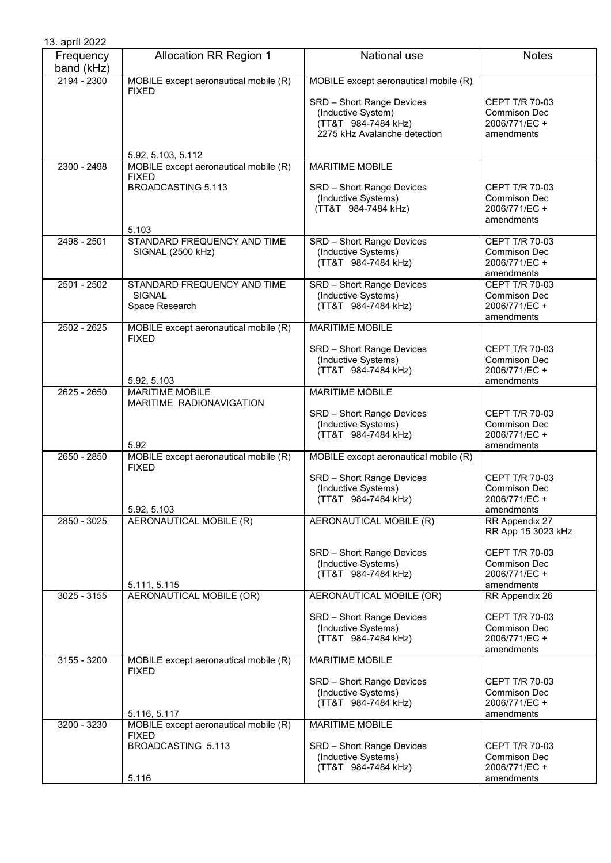| 13. apríl 2022          |                                                                                             |                                                                                                                                                 |                                                                                                              |
|-------------------------|---------------------------------------------------------------------------------------------|-------------------------------------------------------------------------------------------------------------------------------------------------|--------------------------------------------------------------------------------------------------------------|
| Frequency<br>band (kHz) | <b>Allocation RR Region 1</b>                                                               | National use                                                                                                                                    | <b>Notes</b>                                                                                                 |
| $2194 - 2300$           | MOBILE except aeronautical mobile (R)<br><b>FIXED</b>                                       | MOBILE except aeronautical mobile (R)<br>SRD - Short Range Devices<br>(Inductive System)<br>(TT&T 984-7484 kHz)<br>2275 kHz Avalanche detection | <b>CEPT T/R 70-03</b><br><b>Commison Dec</b><br>2006/771/EC +<br>amendments                                  |
|                         | 5.92, 5.103, 5.112                                                                          |                                                                                                                                                 |                                                                                                              |
| 2300 - 2498             | MOBILE except aeronautical mobile (R)<br><b>FIXED</b><br><b>BROADCASTING 5.113</b><br>5.103 | <b>MARITIME MOBILE</b><br>SRD - Short Range Devices<br>(Inductive Systems)<br>(TT&T 984-7484 kHz)                                               | <b>CEPT T/R 70-03</b><br><b>Commison Dec</b><br>2006/771/EC +<br>amendments                                  |
| $2498 - 2501$           | STANDARD FREQUENCY AND TIME<br>SIGNAL (2500 kHz)                                            | SRD - Short Range Devices<br>(Inductive Systems)<br>(TT&T 984-7484 kHz)                                                                         | CEPT T/R 70-03<br><b>Commison Dec</b><br>2006/771/EC+<br>amendments                                          |
| 2501 - 2502             | STANDARD FREQUENCY AND TIME<br><b>SIGNAL</b><br>Space Research                              | SRD - Short Range Devices<br>(Inductive Systems)<br>(TT&T 984-7484 kHz)                                                                         | CEPT T/R 70-03<br><b>Commison Dec</b><br>2006/771/EC+<br>amendments                                          |
| $2502 - 2625$           | MOBILE except aeronautical mobile (R)<br><b>FIXED</b><br>5.92, 5.103                        | <b>MARITIME MOBILE</b><br>SRD - Short Range Devices<br>(Inductive Systems)<br>(TT&T 984-7484 kHz)                                               | CEPT T/R 70-03<br><b>Commison Dec</b><br>2006/771/EC +<br>amendments                                         |
| 2625 - 2650             | <b>MARITIME MOBILE</b><br>MARITIME RADIONAVIGATION<br>5.92                                  | <b>MARITIME MOBILE</b><br>SRD - Short Range Devices<br>(Inductive Systems)<br>(TT&T 984-7484 kHz)                                               | CEPT T/R 70-03<br><b>Commison Dec</b><br>2006/771/EC +<br>amendments                                         |
| $2650 - 2850$           | MOBILE except aeronautical mobile (R)<br><b>FIXED</b><br>5.92, 5.103                        | MOBILE except aeronautical mobile (R)<br>SRD - Short Range Devices<br>(Inductive Systems)<br>(TT&T 984-7484 kHz)                                | <b>CEPT T/R 70-03</b><br><b>Commison Dec</b><br>2006/771/EC +<br>amendments                                  |
| 2850 - 3025             | AERONAUTICAL MOBILE (R)<br>5.111, 5.115                                                     | AERONAUTICAL MOBILE (R)<br>SRD - Short Range Devices<br>(Inductive Systems)<br>(TT&T 984-7484 kHz)                                              | RR Appendix 27<br>RR App 15 3023 kHz<br><b>CEPT T/R 70-03</b><br>Commison Dec<br>2006/771/EC +<br>amendments |
| 3025 - 3155             | AERONAUTICAL MOBILE (OR)                                                                    | AERONAUTICAL MOBILE (OR)<br>SRD - Short Range Devices<br>(Inductive Systems)<br>(TT&T 984-7484 kHz)                                             | RR Appendix 26<br>CEPT T/R 70-03<br><b>Commison Dec</b><br>2006/771/EC +<br>amendments                       |
| $3155 - 3200$           | MOBILE except aeronautical mobile (R)<br><b>FIXED</b><br>5.116, 5.117                       | <b>MARITIME MOBILE</b><br>SRD - Short Range Devices<br>(Inductive Systems)<br>(TT&T 984-7484 kHz)                                               | CEPT T/R 70-03<br>Commison Dec<br>2006/771/EC +<br>amendments                                                |
| 3200 - 3230             | MOBILE except aeronautical mobile (R)<br><b>FIXED</b><br>BROADCASTING 5.113<br>5.116        | <b>MARITIME MOBILE</b><br>SRD - Short Range Devices<br>(Inductive Systems)<br>(TT&T 984-7484 kHz)                                               | CEPT T/R 70-03<br><b>Commison Dec</b><br>2006/771/EC +<br>amendments                                         |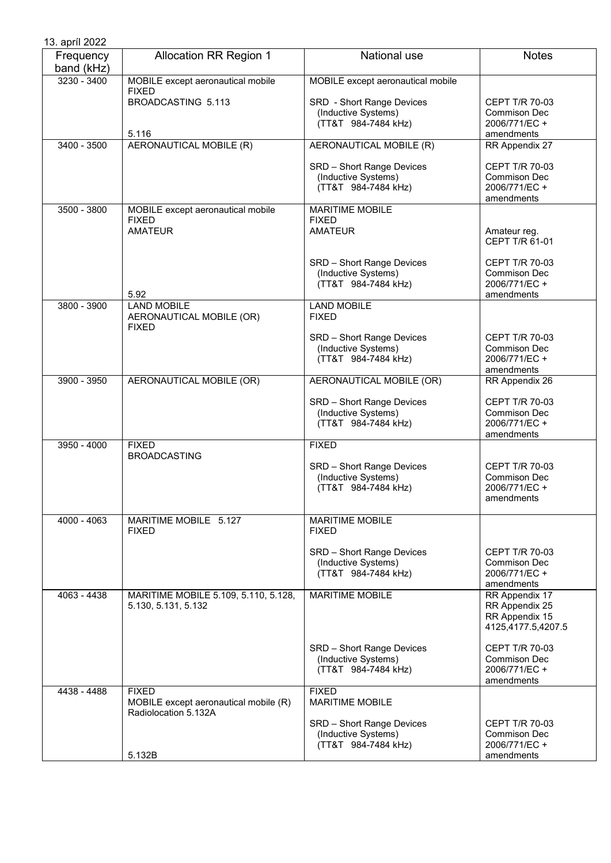| 13. apríl 2022          |                                                                               |                                                                         |                                                                             |
|-------------------------|-------------------------------------------------------------------------------|-------------------------------------------------------------------------|-----------------------------------------------------------------------------|
| Frequency<br>band (kHz) | <b>Allocation RR Region 1</b>                                                 | National use                                                            | <b>Notes</b>                                                                |
| $3230 - 3400$           | MOBILE except aeronautical mobile<br><b>FIXED</b>                             | MOBILE except aeronautical mobile                                       |                                                                             |
|                         | BROADCASTING 5.113<br>5.116                                                   | SRD - Short Range Devices<br>(Inductive Systems)<br>(TT&T 984-7484 kHz) | <b>CEPT T/R 70-03</b><br>Commison Dec<br>2006/771/EC +<br>amendments        |
| 3400 - 3500             | AERONAUTICAL MOBILE (R)                                                       | AERONAUTICAL MOBILE (R)                                                 | RR Appendix 27                                                              |
|                         |                                                                               | SRD - Short Range Devices<br>(Inductive Systems)<br>(TT&T 984-7484 kHz) | CEPT T/R 70-03<br>Commison Dec<br>2006/771/EC +<br>amendments               |
| $3500 - 3800$           | MOBILE except aeronautical mobile<br><b>FIXED</b><br><b>AMATEUR</b>           | <b>MARITIME MOBILE</b><br><b>FIXED</b><br><b>AMATEUR</b>                | Amateur reg.<br>CEPT T/R 61-01                                              |
|                         | 5.92                                                                          | SRD - Short Range Devices<br>(Inductive Systems)<br>(TT&T 984-7484 kHz) | CEPT T/R 70-03<br>Commison Dec<br>2006/771/EC +<br>amendments               |
| 3800 - 3900             | <b>LAND MOBILE</b><br>AERONAUTICAL MOBILE (OR)<br><b>FIXED</b>                | <b>LAND MOBILE</b><br><b>FIXED</b>                                      |                                                                             |
|                         |                                                                               | SRD - Short Range Devices<br>(Inductive Systems)<br>(TT&T 984-7484 kHz) | <b>CEPT T/R 70-03</b><br>Commison Dec<br>2006/771/EC +<br>amendments        |
| $3900 - 3950$           | AERONAUTICAL MOBILE (OR)                                                      | AERONAUTICAL MOBILE (OR)                                                | RR Appendix 26                                                              |
|                         |                                                                               | SRD - Short Range Devices<br>(Inductive Systems)<br>(TT&T 984-7484 kHz) | CEPT T/R 70-03<br><b>Commison Dec</b><br>2006/771/EC +<br>amendments        |
| 3950 - 4000             | <b>FIXED</b><br><b>BROADCASTING</b>                                           | <b>FIXED</b>                                                            |                                                                             |
|                         |                                                                               | SRD - Short Range Devices<br>(Inductive Systems)<br>(TT&T 984-7484 kHz) | <b>CEPT T/R 70-03</b><br><b>Commison Dec</b><br>2006/771/EC +<br>amendments |
| 4000 - 4063             | MARITIME MOBILE 5.127<br><b>FIXED</b>                                         | <b>MARITIME MOBILE</b><br><b>FIXED</b>                                  |                                                                             |
|                         |                                                                               | SRD - Short Range Devices<br>(Inductive Systems)<br>(TT&T 984-7484 kHz) | <b>CEPT T/R 70-03</b><br>Commison Dec<br>2006/771/EC +<br>amendments        |
| 4063 - 4438             | MARITIME MOBILE 5.109, 5.110, 5.128,<br>5.130, 5.131, 5.132                   | <b>MARITIME MOBILE</b>                                                  | RR Appendix 17<br>RR Appendix 25<br>RR Appendix 15<br>4125,4177.5,4207.5    |
|                         |                                                                               | SRD - Short Range Devices<br>(Inductive Systems)<br>(TT&T 984-7484 kHz) | CEPT T/R 70-03<br><b>Commison Dec</b><br>2006/771/EC +<br>amendments        |
| 4438 - 4488             | <b>FIXED</b><br>MOBILE except aeronautical mobile (R)<br>Radiolocation 5.132A | <b>FIXED</b><br><b>MARITIME MOBILE</b>                                  |                                                                             |
|                         |                                                                               | SRD - Short Range Devices<br>(Inductive Systems)<br>(TT&T 984-7484 kHz) | <b>CEPT T/R 70-03</b><br><b>Commison Dec</b><br>2006/771/EC +               |
|                         | 5.132B                                                                        |                                                                         | amendments                                                                  |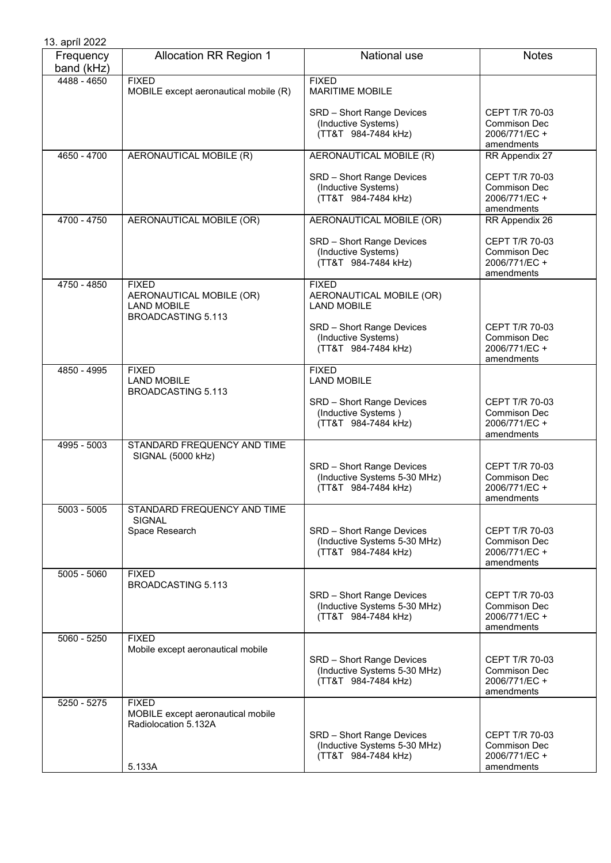| 13. apríl 2022          |                                                                                             |                                                                                  |                                                                             |
|-------------------------|---------------------------------------------------------------------------------------------|----------------------------------------------------------------------------------|-----------------------------------------------------------------------------|
| Frequency<br>band (kHz) | <b>Allocation RR Region 1</b>                                                               | National use                                                                     | <b>Notes</b>                                                                |
| 4488 - 4650             | <b>FIXED</b><br>MOBILE except aeronautical mobile (R)                                       | <b>FIXED</b><br><b>MARITIME MOBILE</b>                                           |                                                                             |
|                         |                                                                                             | SRD - Short Range Devices<br>(Inductive Systems)<br>(TT&T 984-7484 kHz)          | CEPT T/R 70-03<br><b>Commison Dec</b><br>2006/771/EC +<br>amendments        |
| 4650 - 4700             | AERONAUTICAL MOBILE (R)                                                                     | AERONAUTICAL MOBILE (R)                                                          | RR Appendix 27                                                              |
|                         |                                                                                             | SRD - Short Range Devices<br>(Inductive Systems)<br>(TT&T 984-7484 kHz)          | CEPT T/R 70-03<br><b>Commison Dec</b><br>2006/771/EC +<br>amendments        |
| 4700 - 4750             | AERONAUTICAL MOBILE (OR)                                                                    | AERONAUTICAL MOBILE (OR)                                                         | RR Appendix 26                                                              |
|                         |                                                                                             | SRD - Short Range Devices<br>(Inductive Systems)<br>(TT&T 984-7484 kHz)          | CEPT T/R 70-03<br><b>Commison Dec</b><br>2006/771/EC +<br>amendments        |
| 4750 - 4850             | <b>FIXED</b><br>AERONAUTICAL MOBILE (OR)<br><b>LAND MOBILE</b><br><b>BROADCASTING 5.113</b> | <b>FIXED</b><br>AERONAUTICAL MOBILE (OR)<br><b>LAND MOBILE</b>                   |                                                                             |
|                         |                                                                                             | SRD - Short Range Devices<br>(Inductive Systems)<br>(TT&T 984-7484 kHz)          | CEPT T/R 70-03<br><b>Commison Dec</b><br>2006/771/EC +<br>amendments        |
| 4850 - 4995             | <b>FIXED</b><br><b>LAND MOBILE</b><br><b>BROADCASTING 5.113</b>                             | <b>FIXED</b><br><b>LAND MOBILE</b>                                               |                                                                             |
|                         |                                                                                             | SRD - Short Range Devices<br>(Inductive Systems)<br>(TT&T 984-7484 kHz)          | CEPT T/R 70-03<br>Commison Dec<br>2006/771/EC +<br>amendments               |
| 4995 - 5003             | STANDARD FREQUENCY AND TIME<br>SIGNAL (5000 kHz)                                            |                                                                                  |                                                                             |
|                         |                                                                                             | SRD - Short Range Devices<br>(Inductive Systems 5-30 MHz)<br>(TT&T 984-7484 kHz) | CEPT T/R 70-03<br>Commison Dec<br>2006/771/EC +<br>amendments               |
| $5003 - 5005$           | STANDARD FREQUENCY AND TIME<br><b>SIGNAL</b><br>Space Research                              | SRD - Short Range Devices                                                        | CEPT T/R 70-03                                                              |
|                         |                                                                                             | (Inductive Systems 5-30 MHz)<br>(TT&T 984-7484 kHz)                              | <b>Commison Dec</b><br>2006/771/EC+<br>amendments                           |
| 5005 - 5060             | <b>FIXED</b><br><b>BROADCASTING 5.113</b>                                                   | SRD - Short Range Devices<br>(Inductive Systems 5-30 MHz)<br>(TT&T 984-7484 kHz) | CEPT T/R 70-03<br><b>Commison Dec</b><br>2006/771/EC +<br>amendments        |
| 5060 - 5250             | <b>FIXED</b><br>Mobile except aeronautical mobile                                           |                                                                                  |                                                                             |
|                         |                                                                                             | SRD - Short Range Devices<br>(Inductive Systems 5-30 MHz)<br>(TT&T 984-7484 kHz) | <b>CEPT T/R 70-03</b><br><b>Commison Dec</b><br>2006/771/EC +<br>amendments |
| $5250 - 5275$           | <b>FIXED</b><br>MOBILE except aeronautical mobile<br>Radiolocation 5.132A                   |                                                                                  |                                                                             |
|                         | 5.133A                                                                                      | SRD - Short Range Devices<br>(Inductive Systems 5-30 MHz)<br>(TT&T 984-7484 kHz) | <b>CEPT T/R 70-03</b><br>Commison Dec<br>2006/771/EC +<br>amendments        |
|                         |                                                                                             |                                                                                  |                                                                             |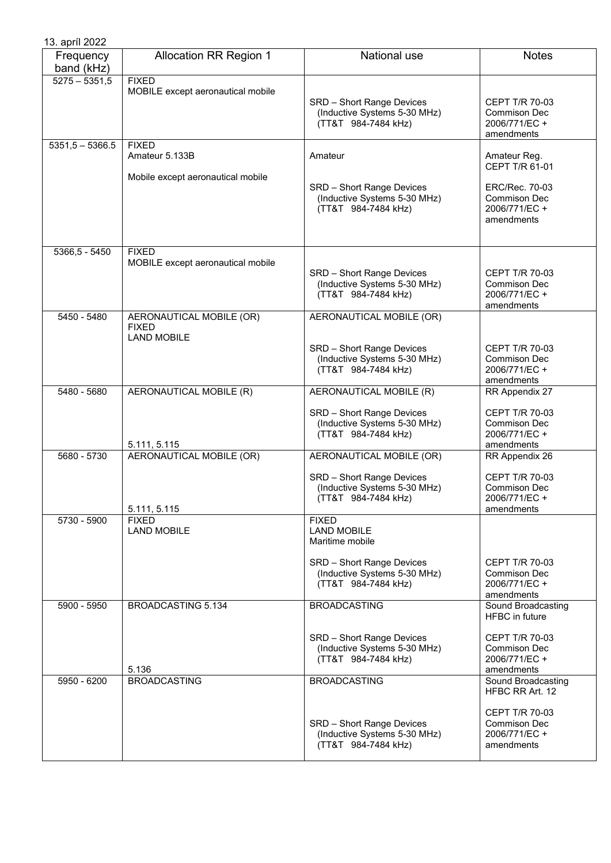| 13. apríl 2022          |                                                                     |                                                                                                                                           |                                                                                                              |
|-------------------------|---------------------------------------------------------------------|-------------------------------------------------------------------------------------------------------------------------------------------|--------------------------------------------------------------------------------------------------------------|
| Frequency<br>band (kHz) | <b>Allocation RR Region 1</b>                                       | National use                                                                                                                              | <b>Notes</b>                                                                                                 |
| $5275 - 5351,5$         | <b>FIXED</b><br>MOBILE except aeronautical mobile                   | SRD - Short Range Devices<br>(Inductive Systems 5-30 MHz)<br>(TT&T 984-7484 kHz)                                                          | <b>CEPT T/R 70-03</b><br><b>Commison Dec</b><br>2006/771/EC +<br>amendments                                  |
| $5351,5 - 5366.5$       | <b>FIXED</b><br>Amateur 5.133B<br>Mobile except aeronautical mobile | Amateur<br>SRD - Short Range Devices<br>(Inductive Systems 5-30 MHz)<br>(TT&T 984-7484 kHz)                                               | Amateur Reg.<br>CEPT T/R 61-01<br>ERC/Rec. 70-03<br><b>Commison Dec</b><br>2006/771/EC +<br>amendments       |
| 5366,5 - 5450           | <b>FIXED</b><br>MOBILE except aeronautical mobile                   | SRD - Short Range Devices<br>(Inductive Systems 5-30 MHz)<br>(TT&T 984-7484 kHz)                                                          | <b>CEPT T/R 70-03</b><br><b>Commison Dec</b><br>2006/771/EC +<br>amendments                                  |
| 5450 - 5480             | AERONAUTICAL MOBILE (OR)<br><b>FIXED</b><br><b>LAND MOBILE</b>      | AERONAUTICAL MOBILE (OR)<br>SRD - Short Range Devices<br>(Inductive Systems 5-30 MHz)<br>(TT&T 984-7484 kHz)                              | <b>CEPT T/R 70-03</b><br><b>Commison Dec</b><br>2006/771/EC +<br>amendments                                  |
| 5480 - 5680             | AERONAUTICAL MOBILE (R)<br>5.111, 5.115                             | AERONAUTICAL MOBILE (R)<br>SRD - Short Range Devices<br>(Inductive Systems 5-30 MHz)<br>(TT&T 984-7484 kHz)                               | RR Appendix 27<br><b>CEPT T/R 70-03</b><br><b>Commison Dec</b><br>2006/771/EC +<br>amendments                |
| 5680 - 5730             | AERONAUTICAL MOBILE (OR)<br>5.111, 5.115                            | AERONAUTICAL MOBILE (OR)<br>SRD - Short Range Devices<br>(Inductive Systems 5-30 MHz)<br>(TT&T 984-7484 kHz)                              | RR Appendix 26<br>CEPT T/R 70-03<br><b>Commison Dec</b><br>2006/771/EC +<br>amendments                       |
| 5730 - 5900             | <b>FIXED</b><br><b>LAND MOBILE</b>                                  | <b>FIXED</b><br><b>LAND MOBILE</b><br>Maritime mobile<br>SRD - Short Range Devices<br>(Inductive Systems 5-30 MHz)<br>(TT&T 984-7484 kHz) | <b>CEPT T/R 70-03</b><br>Commison Dec<br>2006/771/EC +<br>amendments                                         |
| 5900 - 5950             | <b>BROADCASTING 5.134</b><br>5.136                                  | <b>BROADCASTING</b><br>SRD - Short Range Devices<br>(Inductive Systems 5-30 MHz)<br>(TT&T 984-7484 kHz)                                   | Sound Broadcasting<br><b>HFBC</b> in future<br>CEPT T/R 70-03<br>Commison Dec<br>2006/771/EC +<br>amendments |
| 5950 - 6200             | <b>BROADCASTING</b>                                                 | <b>BROADCASTING</b><br>SRD - Short Range Devices<br>(Inductive Systems 5-30 MHz)<br>(TT&T 984-7484 kHz)                                   | Sound Broadcasting<br>HFBC RR Art. 12<br>CEPT T/R 70-03<br>Commison Dec<br>2006/771/EC +<br>amendments       |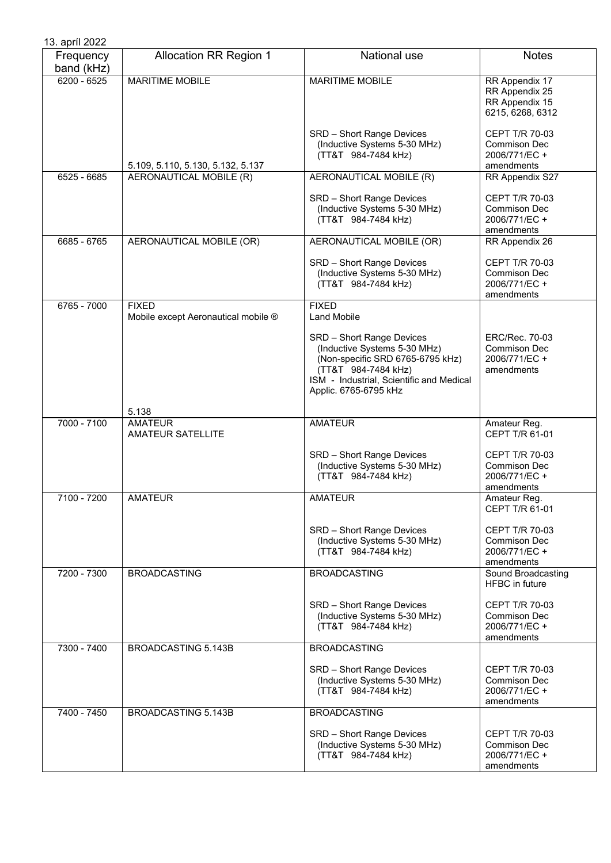| 13. apríl 2022          |                                                     |                                                                                                                                                                                           |                                                                             |
|-------------------------|-----------------------------------------------------|-------------------------------------------------------------------------------------------------------------------------------------------------------------------------------------------|-----------------------------------------------------------------------------|
| Frequency<br>band (kHz) | <b>Allocation RR Region 1</b>                       | National use                                                                                                                                                                              | <b>Notes</b>                                                                |
| $6200 - 6525$           | <b>MARITIME MOBILE</b>                              | <b>MARITIME MOBILE</b>                                                                                                                                                                    | RR Appendix 17<br>RR Appendix 25<br>RR Appendix 15<br>6215, 6268, 6312      |
|                         | 5.109, 5.110, 5.130, 5.132, 5.137                   | SRD - Short Range Devices<br>(Inductive Systems 5-30 MHz)<br>(TT&T 984-7484 kHz)                                                                                                          | CEPT T/R 70-03<br>Commison Dec<br>2006/771/EC +<br>amendments               |
| 6525 - 6685             | AERONAUTICAL MOBILE (R)                             | AERONAUTICAL MOBILE (R)                                                                                                                                                                   | RR Appendix S27                                                             |
|                         |                                                     | SRD - Short Range Devices<br>(Inductive Systems 5-30 MHz)<br>(TT&T 984-7484 kHz)                                                                                                          | CEPT T/R 70-03<br><b>Commison Dec</b><br>2006/771/EC +<br>amendments        |
| 6685 - 6765             | AERONAUTICAL MOBILE (OR)                            | AERONAUTICAL MOBILE (OR)                                                                                                                                                                  | RR Appendix 26                                                              |
|                         |                                                     | SRD - Short Range Devices<br>(Inductive Systems 5-30 MHz)<br>(TT&T 984-7484 kHz)                                                                                                          | CEPT T/R 70-03<br><b>Commison Dec</b><br>2006/771/EC +<br>amendments        |
| 6765 - 7000             | <b>FIXED</b><br>Mobile except Aeronautical mobile ® | <b>FIXED</b><br><b>Land Mobile</b>                                                                                                                                                        |                                                                             |
|                         | 5.138                                               | SRD - Short Range Devices<br>(Inductive Systems 5-30 MHz)<br>(Non-specific SRD 6765-6795 kHz)<br>(TT&T 984-7484 kHz)<br>ISM - Industrial, Scientific and Medical<br>Applic. 6765-6795 kHz | ERC/Rec. 70-03<br>Commison Dec<br>2006/771/EC+<br>amendments                |
| 7000 - 7100             | <b>AMATEUR</b><br><b>AMATEUR SATELLITE</b>          | <b>AMATEUR</b>                                                                                                                                                                            | Amateur Reg.<br>CEPT T/R 61-01                                              |
|                         |                                                     | SRD - Short Range Devices<br>(Inductive Systems 5-30 MHz)<br>(TT&T 984-7484 kHz)                                                                                                          | <b>CEPT T/R 70-03</b><br><b>Commison Dec</b><br>2006/771/EC +<br>amendments |
| $7100 - 7200$           | <b>AMATEUR</b>                                      | <b>AMATEUR</b>                                                                                                                                                                            | Amateur Reg.<br>CEPT T/R 61-01                                              |
|                         |                                                     | SRD - Short Range Devices<br>(Inductive Systems 5-30 MHz)<br>(TT&T 984-7484 kHz)                                                                                                          | <b>CEPT T/R 70-03</b><br><b>Commison Dec</b><br>2006/771/EC +<br>amendments |
| 7200 - 7300             | <b>BROADCASTING</b>                                 | <b>BROADCASTING</b>                                                                                                                                                                       | Sound Broadcasting<br><b>HFBC</b> in future                                 |
|                         |                                                     | SRD - Short Range Devices<br>(Inductive Systems 5-30 MHz)<br>(TT&T 984-7484 kHz)                                                                                                          | <b>CEPT T/R 70-03</b><br>Commison Dec<br>2006/771/EC +<br>amendments        |
| 7300 - 7400             | BROADCASTING 5.143B                                 | <b>BROADCASTING</b>                                                                                                                                                                       |                                                                             |
|                         |                                                     | SRD - Short Range Devices<br>(Inductive Systems 5-30 MHz)<br>(TT&T 984-7484 kHz)                                                                                                          | <b>CEPT T/R 70-03</b><br>Commison Dec<br>2006/771/EC +<br>amendments        |
| 7400 - 7450             | BROADCASTING 5.143B                                 | <b>BROADCASTING</b>                                                                                                                                                                       |                                                                             |
|                         |                                                     | SRD - Short Range Devices<br>(Inductive Systems 5-30 MHz)<br>(TT&T 984-7484 kHz)                                                                                                          | CEPT T/R 70-03<br><b>Commison Dec</b><br>2006/771/EC+<br>amendments         |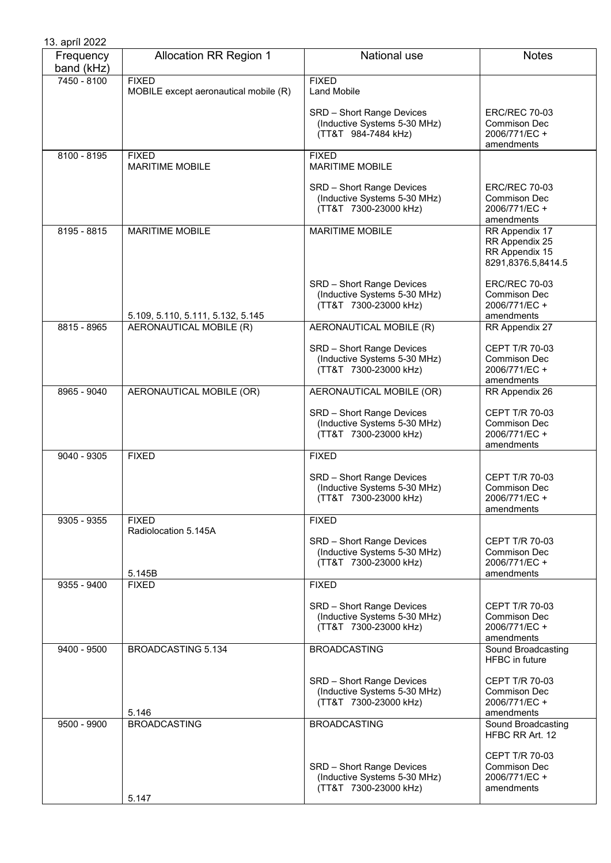| 13. apríl 2022          |                                                       |                                                                                           |                                                                             |
|-------------------------|-------------------------------------------------------|-------------------------------------------------------------------------------------------|-----------------------------------------------------------------------------|
| Frequency<br>band (kHz) | <b>Allocation RR Region 1</b>                         | National use                                                                              | <b>Notes</b>                                                                |
| 7450 - 8100             | <b>FIXED</b><br>MOBILE except aeronautical mobile (R) | <b>FIXED</b><br><b>Land Mobile</b>                                                        |                                                                             |
|                         |                                                       | SRD - Short Range Devices<br>(Inductive Systems 5-30 MHz)<br>(TT&T 984-7484 kHz)          | <b>ERC/REC 70-03</b><br><b>Commison Dec</b><br>2006/771/EC +<br>amendments  |
| 8100 - 8195             | <b>FIXED</b><br><b>MARITIME MOBILE</b>                | <b>FIXED</b><br><b>MARITIME MOBILE</b>                                                    |                                                                             |
|                         |                                                       | <b>SRD</b> - Short Range Devices<br>(Inductive Systems 5-30 MHz)<br>(TT&T 7300-23000 kHz) | <b>ERC/REC 70-03</b><br>Commison Dec<br>2006/771/EC +<br>amendments         |
| 8195 - 8815             | <b>MARITIME MOBILE</b>                                | <b>MARITIME MOBILE</b>                                                                    | RR Appendix 17<br>RR Appendix 25<br>RR Appendix 15<br>8291,8376.5,8414.5    |
|                         | 5.109, 5.110, 5.111, 5.132, 5.145                     | SRD - Short Range Devices<br>(Inductive Systems 5-30 MHz)<br>(TT&T 7300-23000 kHz)        | <b>ERC/REC 70-03</b><br><b>Commison Dec</b><br>2006/771/EC +<br>amendments  |
| 8815 - 8965             | <b>AERONAUTICAL MOBILE (R)</b>                        | AERONAUTICAL MOBILE (R)                                                                   | RR Appendix 27                                                              |
|                         |                                                       | SRD - Short Range Devices<br>(Inductive Systems 5-30 MHz)<br>(TT&T 7300-23000 kHz)        | CEPT T/R 70-03<br>Commison Dec<br>2006/771/EC +<br>amendments               |
| 8965 - 9040             | AERONAUTICAL MOBILE (OR)                              | AERONAUTICAL MOBILE (OR)                                                                  | RR Appendix 26                                                              |
|                         |                                                       | SRD - Short Range Devices<br>(Inductive Systems 5-30 MHz)<br>(TT&T 7300-23000 kHz)        | CEPT T/R 70-03<br>Commison Dec<br>2006/771/EC +<br>amendments               |
| 9040 - 9305             | <b>FIXED</b>                                          | <b>FIXED</b>                                                                              |                                                                             |
|                         |                                                       | SRD - Short Range Devices<br>(Inductive Systems 5-30 MHz)<br>(TT&T 7300-23000 kHz)        | CEPT T/R 70-03<br><b>Commison Dec</b><br>2006/771/EC +<br>amendments        |
| 9305 - 9355             | <b>FIXED</b><br>Radiolocation 5.145A                  | <b>FIXED</b>                                                                              |                                                                             |
|                         | 5.145B                                                | SRD - Short Range Devices<br>(Inductive Systems 5-30 MHz)<br>(TT&T 7300-23000 kHz)        | CEPT T/R 70-03<br>Commison Dec<br>2006/771/EC +<br>amendments               |
| 9355 - 9400             | <b>FIXED</b>                                          | <b>FIXED</b>                                                                              |                                                                             |
|                         |                                                       | SRD - Short Range Devices<br>(Inductive Systems 5-30 MHz)<br>(TT&T 7300-23000 kHz)        | CEPT T/R 70-03<br><b>Commison Dec</b><br>2006/771/EC +<br>amendments        |
| 9400 - 9500             | BROADCASTING 5.134                                    | <b>BROADCASTING</b>                                                                       | Sound Broadcasting<br>HFBC in future                                        |
|                         | 5.146                                                 | SRD - Short Range Devices<br>(Inductive Systems 5-30 MHz)<br>(TT&T 7300-23000 kHz)        | CEPT T/R 70-03<br><b>Commison Dec</b><br>2006/771/EC +<br>amendments        |
| 9500 - 9900             | <b>BROADCASTING</b>                                   | <b>BROADCASTING</b>                                                                       | Sound Broadcasting<br>HFBC RR Art. 12                                       |
|                         |                                                       | SRD - Short Range Devices<br>(Inductive Systems 5-30 MHz)<br>(TT&T 7300-23000 kHz)        | <b>CEPT T/R 70-03</b><br><b>Commison Dec</b><br>2006/771/EC +<br>amendments |
|                         | 5.147                                                 |                                                                                           |                                                                             |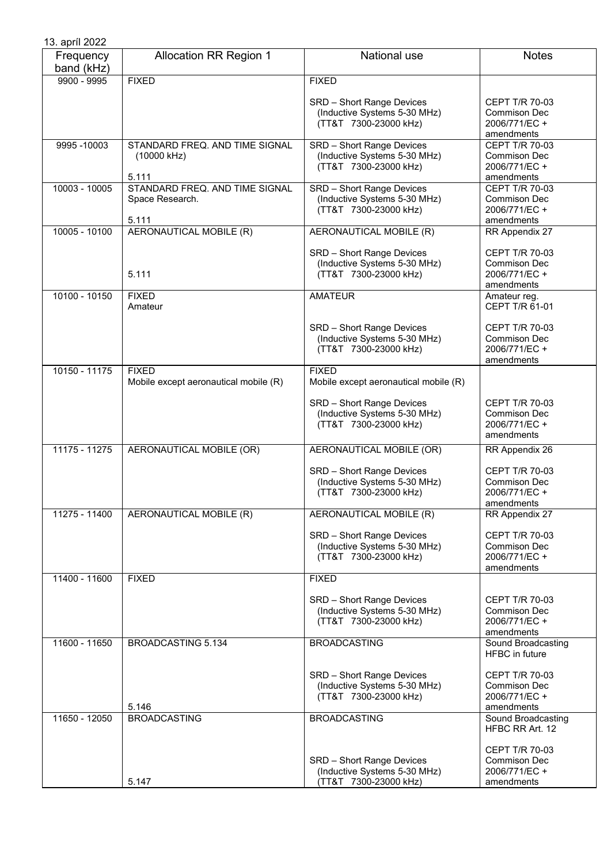| 13. apríl 2022          |                                                            |                                                                                    |                                                                      |
|-------------------------|------------------------------------------------------------|------------------------------------------------------------------------------------|----------------------------------------------------------------------|
| Frequency<br>band (kHz) | <b>Allocation RR Region 1</b>                              | National use                                                                       | <b>Notes</b>                                                         |
| $9900 - 9995$           | <b>FIXED</b>                                               | <b>FIXED</b>                                                                       |                                                                      |
|                         |                                                            | SRD - Short Range Devices<br>(Inductive Systems 5-30 MHz)<br>(TT&T 7300-23000 kHz) | CEPT T/R 70-03<br>Commison Dec<br>2006/771/EC +<br>amendments        |
| 9995-10003              | STANDARD FREQ. AND TIME SIGNAL<br>(10000 kHz)<br>5.111     | SRD - Short Range Devices<br>(Inductive Systems 5-30 MHz)<br>(TT&T 7300-23000 kHz) | CEPT T/R 70-03<br>Commison Dec<br>2006/771/EC+<br>amendments         |
| 10003 - 10005           | STANDARD FREQ. AND TIME SIGNAL<br>Space Research.<br>5.111 | SRD - Short Range Devices<br>(Inductive Systems 5-30 MHz)<br>(TT&T 7300-23000 kHz) | <b>CEPT T/R 70-03</b><br>Commison Dec<br>2006/771/EC +<br>amendments |
| 10005 - 10100           | AERONAUTICAL MOBILE (R)                                    | AERONAUTICAL MOBILE (R)                                                            | RR Appendix 27                                                       |
|                         | 5.111                                                      | SRD - Short Range Devices<br>(Inductive Systems 5-30 MHz)<br>(TT&T 7300-23000 kHz) | CEPT T/R 70-03<br>Commison Dec<br>2006/771/EC +<br>amendments        |
| 10100 - 10150           | <b>FIXED</b><br>Amateur                                    | <b>AMATEUR</b>                                                                     | Amateur reg.<br>CEPT T/R 61-01                                       |
|                         |                                                            | SRD - Short Range Devices<br>(Inductive Systems 5-30 MHz)<br>(TT&T 7300-23000 kHz) | CEPT T/R 70-03<br><b>Commison Dec</b><br>2006/771/EC +<br>amendments |
| 10150 - 11175           | <b>FIXED</b><br>Mobile except aeronautical mobile (R)      | <b>FIXED</b><br>Mobile except aeronautical mobile (R)                              |                                                                      |
|                         |                                                            | SRD - Short Range Devices<br>(Inductive Systems 5-30 MHz)<br>(TT&T 7300-23000 kHz) | <b>CEPT T/R 70-03</b><br>Commison Dec<br>2006/771/EC +<br>amendments |
| 11175 - 11275           | AERONAUTICAL MOBILE (OR)                                   | AERONAUTICAL MOBILE (OR)                                                           | RR Appendix 26                                                       |
|                         |                                                            | SRD - Short Range Devices<br>(Inductive Systems 5-30 MHz)<br>(TT&T 7300-23000 kHz) | CEPT T/R 70-03<br><b>Commison Dec</b><br>2006/771/EC +<br>amendments |
| 11275 - 11400           | AERONAUTICAL MOBILE (R)                                    | AERONAUTICAL MOBILE (R)                                                            | RR Appendix 27                                                       |
|                         |                                                            | SRD - Short Range Devices<br>(Inductive Systems 5-30 MHz)<br>(TT&T 7300-23000 kHz) | CEPT T/R 70-03<br>Commison Dec<br>2006/771/EC +<br>amendments        |
| 11400 - 11600           | <b>FIXED</b>                                               | <b>FIXED</b>                                                                       |                                                                      |
|                         |                                                            | SRD - Short Range Devices<br>(Inductive Systems 5-30 MHz)<br>(TT&T 7300-23000 kHz) | CEPT T/R 70-03<br>Commison Dec<br>2006/771/EC +<br>amendments        |
| 11600 - 11650           | <b>BROADCASTING 5.134</b>                                  | <b>BROADCASTING</b>                                                                | Sound Broadcasting<br><b>HFBC</b> in future                          |
|                         | 5.146                                                      | SRD - Short Range Devices<br>(Inductive Systems 5-30 MHz)<br>(TT&T 7300-23000 kHz) | CEPT T/R 70-03<br>Commison Dec<br>2006/771/EC +<br>amendments        |
| 11650 - 12050           | <b>BROADCASTING</b>                                        | <b>BROADCASTING</b>                                                                | Sound Broadcasting<br>HFBC RR Art. 12                                |
|                         | 5.147                                                      | SRD - Short Range Devices<br>(Inductive Systems 5-30 MHz)<br>(TT&T 7300-23000 kHz) | <b>CEPT T/R 70-03</b><br>Commison Dec<br>2006/771/EC +<br>amendments |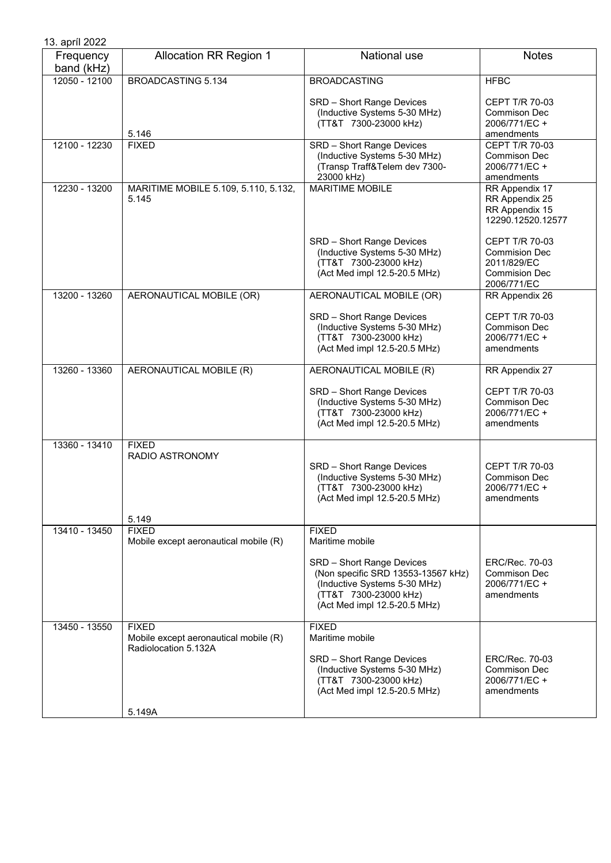| 13. apríl 2022          |                                                       |                                                                                                                                                                             |                                                                                                     |
|-------------------------|-------------------------------------------------------|-----------------------------------------------------------------------------------------------------------------------------------------------------------------------------|-----------------------------------------------------------------------------------------------------|
| Frequency<br>band (kHz) | <b>Allocation RR Region 1</b>                         | National use                                                                                                                                                                | <b>Notes</b>                                                                                        |
| 12050 - 12100           | <b>BROADCASTING 5.134</b>                             | <b>BROADCASTING</b>                                                                                                                                                         | <b>HFBC</b>                                                                                         |
|                         | 5.146                                                 | SRD - Short Range Devices<br>(Inductive Systems 5-30 MHz)<br>(TT&T 7300-23000 kHz)                                                                                          | <b>CEPT T/R 70-03</b><br>Commison Dec<br>2006/771/EC +<br>amendments                                |
| 12100 - 12230           | <b>FIXED</b>                                          | <b>SRD</b> - Short Range Devices<br>(Inductive Systems 5-30 MHz)<br>(Transp Traff&Telem dev 7300-<br>23000 kHz)                                                             | CEPT T/R 70-03<br>Commison Dec<br>2006/771/EC+<br>amendments                                        |
| 12230 - 13200           | MARITIME MOBILE 5.109, 5.110, 5.132,<br>5.145         | <b>MARITIME MOBILE</b>                                                                                                                                                      | RR Appendix 17<br>RR Appendix 25<br>RR Appendix 15<br>12290.12520.12577                             |
|                         |                                                       | SRD - Short Range Devices<br>(Inductive Systems 5-30 MHz)<br>(TT&T 7300-23000 kHz)<br>(Act Med impl 12.5-20.5 MHz)                                                          | <b>CEPT T/R 70-03</b><br><b>Commision Dec</b><br>2011/829/EC<br><b>Commision Dec</b><br>2006/771/EC |
| 13200 - 13260           | AERONAUTICAL MOBILE (OR)                              | AERONAUTICAL MOBILE (OR)                                                                                                                                                    | RR Appendix 26                                                                                      |
|                         |                                                       | SRD - Short Range Devices<br>(Inductive Systems 5-30 MHz)<br>(TT&T 7300-23000 kHz)<br>(Act Med impl 12.5-20.5 MHz)                                                          | CEPT T/R 70-03<br>Commison Dec<br>2006/771/EC +<br>amendments                                       |
| 13260 - 13360           | AERONAUTICAL MOBILE (R)                               | AERONAUTICAL MOBILE (R)                                                                                                                                                     | RR Appendix 27                                                                                      |
|                         |                                                       | SRD - Short Range Devices<br>(Inductive Systems 5-30 MHz)<br>(TT&T 7300-23000 kHz)<br>(Act Med impl 12.5-20.5 MHz)                                                          | <b>CEPT T/R 70-03</b><br>Commison Dec<br>2006/771/EC +<br>amendments                                |
| 13360 - 13410           | <b>FIXED</b><br><b>RADIO ASTRONOMY</b>                | SRD - Short Range Devices<br>(Inductive Systems 5-30 MHz)<br>(TT&T 7300-23000 kHz)<br>(Act Med impl 12.5-20.5 MHz)                                                          | CEPT T/R 70-03<br>Commison Dec<br>2006/771/EC +<br>amendments                                       |
| 13410 - 13450           | 5.149<br><b>FIXED</b>                                 | <b>FIXED</b>                                                                                                                                                                |                                                                                                     |
|                         | Mobile except aeronautical mobile (R)                 | Maritime mobile<br>SRD - Short Range Devices<br>(Non specific SRD 13553-13567 kHz)<br>(Inductive Systems 5-30 MHz)<br>(TT&T 7300-23000 kHz)<br>(Act Med impl 12.5-20.5 MHz) | ERC/Rec. 70-03<br>Commison Dec<br>2006/771/EC+<br>amendments                                        |
| 13450 - 13550           | <b>FIXED</b><br>Mobile except aeronautical mobile (R) | <b>FIXED</b><br>Maritime mobile                                                                                                                                             |                                                                                                     |
|                         | Radiolocation 5.132A<br>5.149A                        | SRD - Short Range Devices<br>(Inductive Systems 5-30 MHz)<br>(TT&T 7300-23000 kHz)<br>(Act Med impl 12.5-20.5 MHz)                                                          | ERC/Rec. 70-03<br>Commison Dec<br>2006/771/EC +<br>amendments                                       |
|                         |                                                       |                                                                                                                                                                             |                                                                                                     |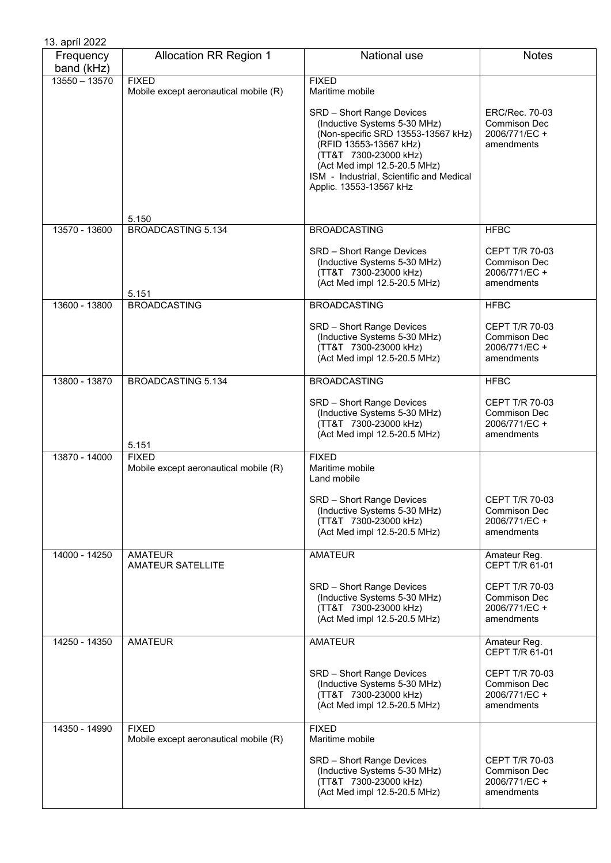| 13. apríl 2022          |                                                       |                                                                                                                                                                                                                                                                                              |                                                                             |
|-------------------------|-------------------------------------------------------|----------------------------------------------------------------------------------------------------------------------------------------------------------------------------------------------------------------------------------------------------------------------------------------------|-----------------------------------------------------------------------------|
| Frequency<br>band (kHz) | <b>Allocation RR Region 1</b>                         | National use                                                                                                                                                                                                                                                                                 | <b>Notes</b>                                                                |
| $13550 - 13570$         | <b>FIXED</b><br>Mobile except aeronautical mobile (R) | <b>FIXED</b><br>Maritime mobile<br>SRD - Short Range Devices<br>(Inductive Systems 5-30 MHz)<br>(Non-specific SRD 13553-13567 kHz)<br>(RFID 13553-13567 kHz)<br>(TT&T 7300-23000 kHz)<br>(Act Med impl 12.5-20.5 MHz)<br>ISM - Industrial, Scientific and Medical<br>Applic. 13553-13567 kHz | <b>ERC/Rec. 70-03</b><br><b>Commison Dec</b><br>2006/771/EC +<br>amendments |
| 13570 - 13600           | 5.150<br><b>BROADCASTING 5.134</b>                    | <b>BROADCASTING</b>                                                                                                                                                                                                                                                                          | <b>HFBC</b>                                                                 |
|                         | 5.151                                                 | SRD - Short Range Devices<br>(Inductive Systems 5-30 MHz)<br>(TT&T 7300-23000 kHz)<br>(Act Med impl 12.5-20.5 MHz)                                                                                                                                                                           | <b>CEPT T/R 70-03</b><br><b>Commison Dec</b><br>2006/771/EC+<br>amendments  |
| 13600 - 13800           | <b>BROADCASTING</b>                                   | <b>BROADCASTING</b>                                                                                                                                                                                                                                                                          | <b>HFBC</b>                                                                 |
|                         |                                                       | SRD - Short Range Devices<br>(Inductive Systems 5-30 MHz)<br>(TT&T 7300-23000 kHz)<br>(Act Med impl 12.5-20.5 MHz)                                                                                                                                                                           | <b>CEPT T/R 70-03</b><br><b>Commison Dec</b><br>2006/771/EC +<br>amendments |
| 13800 - 13870           | <b>BROADCASTING 5.134</b>                             | <b>BROADCASTING</b>                                                                                                                                                                                                                                                                          | <b>HFBC</b>                                                                 |
|                         | 5.151                                                 | SRD - Short Range Devices<br>(Inductive Systems 5-30 MHz)<br>(TT&T 7300-23000 kHz)<br>(Act Med impl 12.5-20.5 MHz)                                                                                                                                                                           | <b>CEPT T/R 70-03</b><br><b>Commison Dec</b><br>2006/771/EC +<br>amendments |
| 13870 - 14000           | <b>FIXED</b><br>Mobile except aeronautical mobile (R) | <b>FIXED</b><br>Maritime mobile<br>Land mobile                                                                                                                                                                                                                                               |                                                                             |
|                         |                                                       | <b>SRD</b> - Short Range Devices<br>(Inductive Systems 5-30 MHz)<br>(TT&T 7300-23000 kHz)<br>(Act Med impl 12.5-20.5 MHz)                                                                                                                                                                    | <b>CEPT T/R 70-03</b><br><b>Commison Dec</b><br>2006/771/EC +<br>amendments |
| 14000 - 14250           | <b>AMATEUR</b><br><b>AMATEUR SATELLITE</b>            | <b>AMATEUR</b>                                                                                                                                                                                                                                                                               | Amateur Reg.<br>CEPT T/R 61-01                                              |
|                         |                                                       | SRD - Short Range Devices<br>(Inductive Systems 5-30 MHz)<br>(TT&T 7300-23000 kHz)<br>(Act Med impl 12.5-20.5 MHz)                                                                                                                                                                           | CEPT T/R 70-03<br>Commison Dec<br>2006/771/EC +<br>amendments               |
| 14250 - 14350           | <b>AMATEUR</b>                                        | <b>AMATEUR</b>                                                                                                                                                                                                                                                                               | Amateur Reg.<br>CEPT T/R 61-01                                              |
|                         |                                                       | SRD - Short Range Devices<br>(Inductive Systems 5-30 MHz)<br>(TT&T 7300-23000 kHz)<br>(Act Med impl 12.5-20.5 MHz)                                                                                                                                                                           | CEPT T/R 70-03<br><b>Commison Dec</b><br>2006/771/EC +<br>amendments        |
| 14350 - 14990           | <b>FIXED</b><br>Mobile except aeronautical mobile (R) | <b>FIXED</b><br>Maritime mobile                                                                                                                                                                                                                                                              |                                                                             |
|                         |                                                       | SRD - Short Range Devices<br>(Inductive Systems 5-30 MHz)<br>(TT&T 7300-23000 kHz)<br>(Act Med impl 12.5-20.5 MHz)                                                                                                                                                                           | <b>CEPT T/R 70-03</b><br>Commison Dec<br>2006/771/EC +<br>amendments        |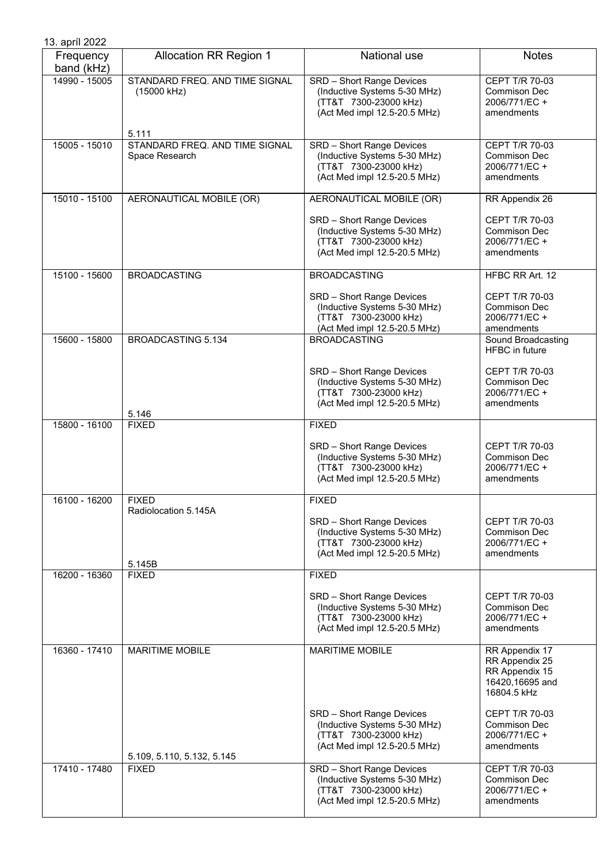| 13. apríl 2022          |                                                        |                                                                                                                    |                                                                                      |
|-------------------------|--------------------------------------------------------|--------------------------------------------------------------------------------------------------------------------|--------------------------------------------------------------------------------------|
| Frequency<br>band (kHz) | <b>Allocation RR Region 1</b>                          | National use                                                                                                       | <b>Notes</b>                                                                         |
| 14990 - 15005           | STANDARD FREQ. AND TIME SIGNAL<br>(15000 kHz)<br>5.111 | SRD - Short Range Devices<br>(Inductive Systems 5-30 MHz)<br>(TT&T 7300-23000 kHz)<br>(Act Med impl 12.5-20.5 MHz) | <b>CEPT T/R 70-03</b><br><b>Commison Dec</b><br>2006/771/EC +<br>amendments          |
| 15005 - 15010           | STANDARD FREQ. AND TIME SIGNAL<br>Space Research       | SRD - Short Range Devices<br>(Inductive Systems 5-30 MHz)<br>(TT&T 7300-23000 kHz)<br>(Act Med impl 12.5-20.5 MHz) | CEPT T/R 70-03<br>Commison Dec<br>2006/771/EC +<br>amendments                        |
| 15010 - 15100           | AERONAUTICAL MOBILE (OR)                               | AERONAUTICAL MOBILE (OR)                                                                                           | RR Appendix 26                                                                       |
|                         |                                                        | SRD - Short Range Devices<br>(Inductive Systems 5-30 MHz)<br>(TT&T 7300-23000 kHz)<br>(Act Med impl 12.5-20.5 MHz) | CEPT T/R 70-03<br><b>Commison Dec</b><br>2006/771/EC +<br>amendments                 |
| 15100 - 15600           | <b>BROADCASTING</b>                                    | <b>BROADCASTING</b>                                                                                                | HFBC RR Art. 12                                                                      |
|                         |                                                        | SRD - Short Range Devices<br>(Inductive Systems 5-30 MHz)<br>(TT&T 7300-23000 kHz)<br>(Act Med impl 12.5-20.5 MHz) | <b>CEPT T/R 70-03</b><br><b>Commison Dec</b><br>2006/771/EC +<br>amendments          |
| 15600 - 15800           | <b>BROADCASTING 5.134</b>                              | <b>BROADCASTING</b>                                                                                                | Sound Broadcasting<br><b>HFBC</b> in future                                          |
|                         |                                                        | SRD - Short Range Devices<br>(Inductive Systems 5-30 MHz)<br>(TT&T 7300-23000 kHz)<br>(Act Med impl 12.5-20.5 MHz) | <b>CEPT T/R 70-03</b><br><b>Commison Dec</b><br>2006/771/EC +<br>amendments          |
| 15800 - 16100           | 5.146<br><b>FIXED</b>                                  | <b>FIXED</b>                                                                                                       |                                                                                      |
|                         |                                                        | SRD - Short Range Devices<br>(Inductive Systems 5-30 MHz)<br>(TT&T 7300-23000 kHz)<br>(Act Med impl 12.5-20.5 MHz) | <b>CEPT T/R 70-03</b><br><b>Commison Dec</b><br>2006/771/EC +<br>amendments          |
| 16100 - 16200           | <b>FIXED</b>                                           | <b>FIXED</b>                                                                                                       |                                                                                      |
|                         | Radiolocation 5.145A<br>5.145B                         | SRD - Short Range Devices<br>(Inductive Systems 5-30 MHz)<br>(TT&T 7300-23000 kHz)<br>(Act Med impl 12.5-20.5 MHz) | CEPT T/R 70-03<br><b>Commison Dec</b><br>2006/771/EC+<br>amendments                  |
| 16200 - 16360           | <b>FIXED</b>                                           | <b>FIXED</b>                                                                                                       |                                                                                      |
|                         |                                                        | SRD - Short Range Devices<br>(Inductive Systems 5-30 MHz)<br>(TT&T 7300-23000 kHz)<br>(Act Med impl 12.5-20.5 MHz) | CEPT T/R 70-03<br><b>Commison Dec</b><br>2006/771/EC +<br>amendments                 |
| 16360 - 17410           | <b>MARITIME MOBILE</b>                                 | <b>MARITIME MOBILE</b>                                                                                             | RR Appendix 17<br>RR Appendix 25<br>RR Appendix 15<br>16420,16695 and<br>16804.5 kHz |
|                         | 5.109, 5.110, 5.132, 5.145                             | SRD - Short Range Devices<br>(Inductive Systems 5-30 MHz)<br>(TT&T 7300-23000 kHz)<br>(Act Med impl 12.5-20.5 MHz) | <b>CEPT T/R 70-03</b><br><b>Commison Dec</b><br>2006/771/EC +<br>amendments          |
| 17410 - 17480           | <b>FIXED</b>                                           | SRD - Short Range Devices<br>(Inductive Systems 5-30 MHz)<br>(TT&T 7300-23000 kHz)<br>(Act Med impl 12.5-20.5 MHz) | CEPT T/R 70-03<br><b>Commison Dec</b><br>2006/771/EC +<br>amendments                 |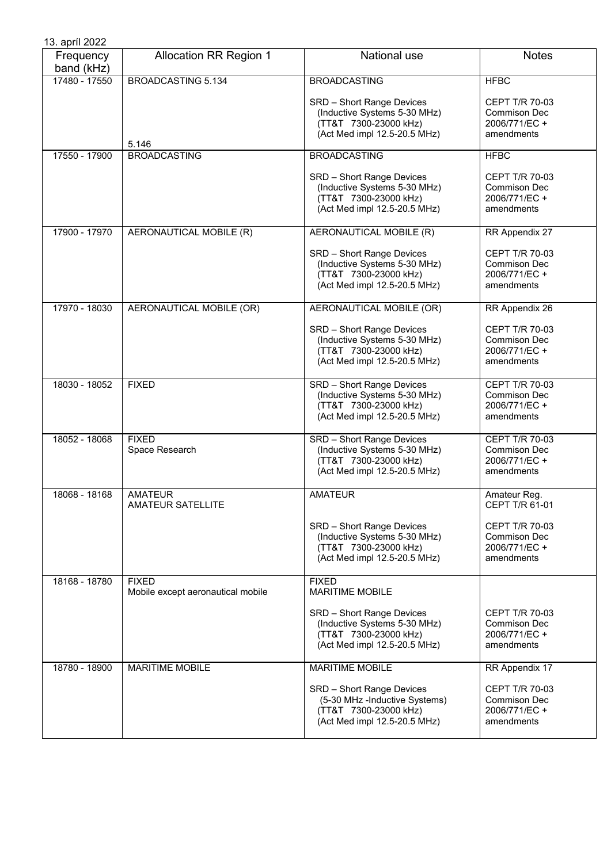| 13. apríl 2022          |                                                   |                                                                                                                                           |                                                                                            |
|-------------------------|---------------------------------------------------|-------------------------------------------------------------------------------------------------------------------------------------------|--------------------------------------------------------------------------------------------|
| Frequency<br>band (kHz) | <b>Allocation RR Region 1</b>                     | National use                                                                                                                              | <b>Notes</b>                                                                               |
| 17480 - 17550           | <b>BROADCASTING 5.134</b>                         | <b>BROADCASTING</b>                                                                                                                       | <b>HFBC</b>                                                                                |
|                         |                                                   | SRD - Short Range Devices<br>(Inductive Systems 5-30 MHz)<br>(TT&T 7300-23000 kHz)<br>(Act Med impl 12.5-20.5 MHz)                        | <b>CEPT T/R 70-03</b><br><b>Commison Dec</b><br>2006/771/EC +<br>amendments                |
|                         | 5.146                                             |                                                                                                                                           |                                                                                            |
| 17550 - 17900           | <b>BROADCASTING</b>                               | <b>BROADCASTING</b><br>SRD - Short Range Devices<br>(Inductive Systems 5-30 MHz)<br>(TT&T 7300-23000 kHz)<br>(Act Med impl 12.5-20.5 MHz) | <b>HFBC</b><br><b>CEPT T/R 70-03</b><br><b>Commison Dec</b><br>2006/771/EC +<br>amendments |
| 17900 - 17970           | AERONAUTICAL MOBILE (R)                           | AERONAUTICAL MOBILE (R)                                                                                                                   | RR Appendix 27                                                                             |
|                         |                                                   | SRD - Short Range Devices<br>(Inductive Systems 5-30 MHz)<br>(TT&T 7300-23000 kHz)<br>(Act Med impl 12.5-20.5 MHz)                        | <b>CEPT T/R 70-03</b><br><b>Commison Dec</b><br>2006/771/EC +<br>amendments                |
| 17970 - 18030           | AERONAUTICAL MOBILE (OR)                          | AERONAUTICAL MOBILE (OR)                                                                                                                  | RR Appendix 26                                                                             |
|                         |                                                   | SRD - Short Range Devices<br>(Inductive Systems 5-30 MHz)<br>(TT&T 7300-23000 kHz)<br>(Act Med impl 12.5-20.5 MHz)                        | <b>CEPT T/R 70-03</b><br><b>Commison Dec</b><br>2006/771/EC +<br>amendments                |
| 18030 - 18052           | <b>FIXED</b>                                      | SRD - Short Range Devices<br>(Inductive Systems 5-30 MHz)<br>(TT&T 7300-23000 kHz)<br>(Act Med impl 12.5-20.5 MHz)                        | CEPT T/R 70-03<br><b>Commison Dec</b><br>2006/771/EC +<br>amendments                       |
| 18052 - 18068           | <b>FIXED</b><br>Space Research                    | <b>SRD</b> - Short Range Devices<br>(Inductive Systems 5-30 MHz)<br>(TT&T 7300-23000 kHz)<br>(Act Med impl 12.5-20.5 MHz)                 | CEPT T/R 70-03<br><b>Commison Dec</b><br>2006/771/EC +<br>amendments                       |
| 18068 - 18168           | <b>AMATEUR</b><br><b>AMATEUR SATELLITE</b>        | <b>AMATEUR</b>                                                                                                                            | Amateur Reg.<br>CEPT T/R 61-01                                                             |
|                         |                                                   | SRD - Short Range Devices<br>(Inductive Systems 5-30 MHz)<br>(TT&T 7300-23000 kHz)<br>(Act Med impl 12.5-20.5 MHz)                        | CEPT T/R 70-03<br><b>Commison Dec</b><br>2006/771/EC +<br>amendments                       |
| 18168 - 18780           | <b>FIXED</b><br>Mobile except aeronautical mobile | <b>FIXED</b><br><b>MARITIME MOBILE</b>                                                                                                    |                                                                                            |
|                         |                                                   | SRD - Short Range Devices<br>(Inductive Systems 5-30 MHz)<br>(TT&T 7300-23000 kHz)<br>(Act Med impl 12.5-20.5 MHz)                        | <b>CEPT T/R 70-03</b><br><b>Commison Dec</b><br>2006/771/EC +<br>amendments                |
| 18780 - 18900           | <b>MARITIME MOBILE</b>                            | <b>MARITIME MOBILE</b>                                                                                                                    | RR Appendix 17                                                                             |
|                         |                                                   | SRD - Short Range Devices<br>(5-30 MHz -Inductive Systems)<br>(TT&T 7300-23000 kHz)<br>(Act Med impl 12.5-20.5 MHz)                       | <b>CEPT T/R 70-03</b><br><b>Commison Dec</b><br>2006/771/EC +<br>amendments                |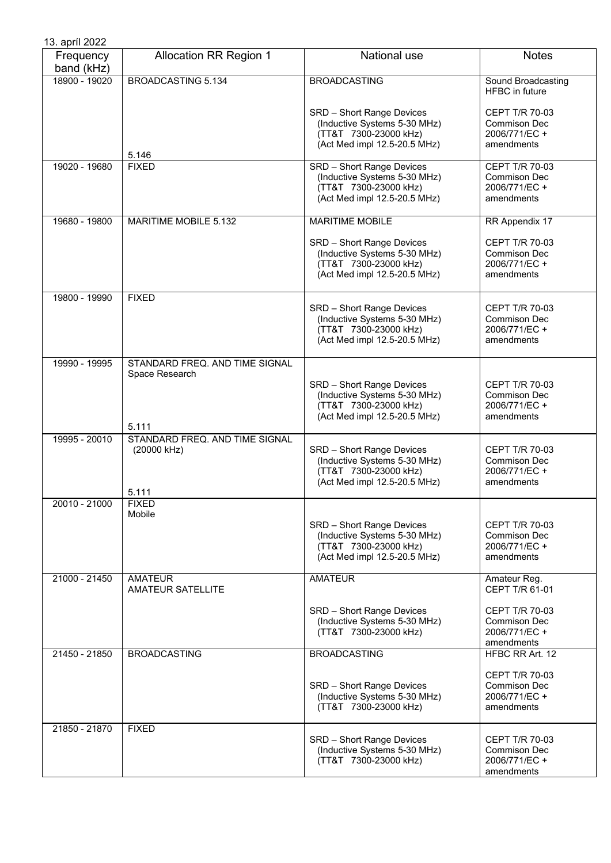| 13. apríl 2022          |                                            |                                                                                                                    |                                                                             |
|-------------------------|--------------------------------------------|--------------------------------------------------------------------------------------------------------------------|-----------------------------------------------------------------------------|
| Frequency<br>band (kHz) | <b>Allocation RR Region 1</b>              | National use                                                                                                       | <b>Notes</b>                                                                |
| 18900 - 19020           | <b>BROADCASTING 5.134</b>                  | <b>BROADCASTING</b>                                                                                                | Sound Broadcasting<br><b>HFBC</b> in future                                 |
|                         |                                            | SRD - Short Range Devices<br>(Inductive Systems 5-30 MHz)<br>(TT&T 7300-23000 kHz)<br>(Act Med impl 12.5-20.5 MHz) | CEPT T/R 70-03<br><b>Commison Dec</b><br>2006/771/EC +<br>amendments        |
|                         | 5.146                                      |                                                                                                                    |                                                                             |
| 19020 - 19680           | <b>FIXED</b>                               | SRD - Short Range Devices<br>(Inductive Systems 5-30 MHz)<br>(TT&T 7300-23000 kHz)<br>(Act Med impl 12.5-20.5 MHz) | CEPT T/R 70-03<br>Commison Dec<br>2006/771/EC +<br>amendments               |
| 19680 - 19800           | <b>MARITIME MOBILE 5.132</b>               | <b>MARITIME MOBILE</b>                                                                                             | RR Appendix 17                                                              |
|                         |                                            | SRD - Short Range Devices<br>(Inductive Systems 5-30 MHz)<br>(TT&T 7300-23000 kHz)<br>(Act Med impl 12.5-20.5 MHz) | CEPT T/R 70-03<br><b>Commison Dec</b><br>2006/771/EC +<br>amendments        |
| 19800 - 19990           | <b>FIXED</b>                               | SRD - Short Range Devices<br>(Inductive Systems 5-30 MHz)<br>(TT&T 7300-23000 kHz)<br>(Act Med impl 12.5-20.5 MHz) | <b>CEPT T/R 70-03</b><br><b>Commison Dec</b><br>2006/771/EC +<br>amendments |
| 19990 - 19995           | STANDARD FREQ. AND TIME SIGNAL             |                                                                                                                    |                                                                             |
|                         | Space Research<br>5.111                    | SRD - Short Range Devices<br>(Inductive Systems 5-30 MHz)<br>(TT&T 7300-23000 kHz)<br>(Act Med impl 12.5-20.5 MHz) | CEPT T/R 70-03<br>Commison Dec<br>2006/771/EC +<br>amendments               |
| 19995 - 20010           | STANDARD FREQ. AND TIME SIGNAL             |                                                                                                                    |                                                                             |
|                         | (20000 kHz)                                | SRD - Short Range Devices<br>(Inductive Systems 5-30 MHz)<br>(TT&T 7300-23000 kHz)<br>(Act Med impl 12.5-20.5 MHz) | CEPT T/R 70-03<br>Commison Dec<br>2006/771/EC +<br>amendments               |
| 20010 - 21000           | 5.111<br><b>FIXED</b>                      |                                                                                                                    |                                                                             |
|                         | Mobile                                     | SRD - Short Range Devices<br>(Inductive Systems 5-30 MHz)<br>(TT&T 7300-23000 kHz)<br>(Act Med impl 12.5-20.5 MHz) | CEPT T/R 70-03<br>Commison Dec<br>2006/771/EC +<br>amendments               |
| 21000 - 21450           | <b>AMATEUR</b><br><b>AMATEUR SATELLITE</b> | <b>AMATEUR</b>                                                                                                     | Amateur Reg.<br>CEPT T/R 61-01                                              |
|                         |                                            | SRD - Short Range Devices<br>(Inductive Systems 5-30 MHz)<br>(TT&T 7300-23000 kHz)                                 | CEPT T/R 70-03<br><b>Commison Dec</b><br>2006/771/EC +<br>amendments        |
| 21450 - 21850           | <b>BROADCASTING</b>                        | <b>BROADCASTING</b>                                                                                                | HFBC RR Art. 12                                                             |
|                         |                                            | SRD - Short Range Devices<br>(Inductive Systems 5-30 MHz)<br>(TT&T 7300-23000 kHz)                                 | CEPT T/R 70-03<br>Commison Dec<br>2006/771/EC +<br>amendments               |
| 21850 - 21870           | <b>FIXED</b>                               | SRD - Short Range Devices<br>(Inductive Systems 5-30 MHz)<br>(TT&T 7300-23000 kHz)                                 | CEPT T/R 70-03<br><b>Commison Dec</b><br>2006/771/EC +<br>amendments        |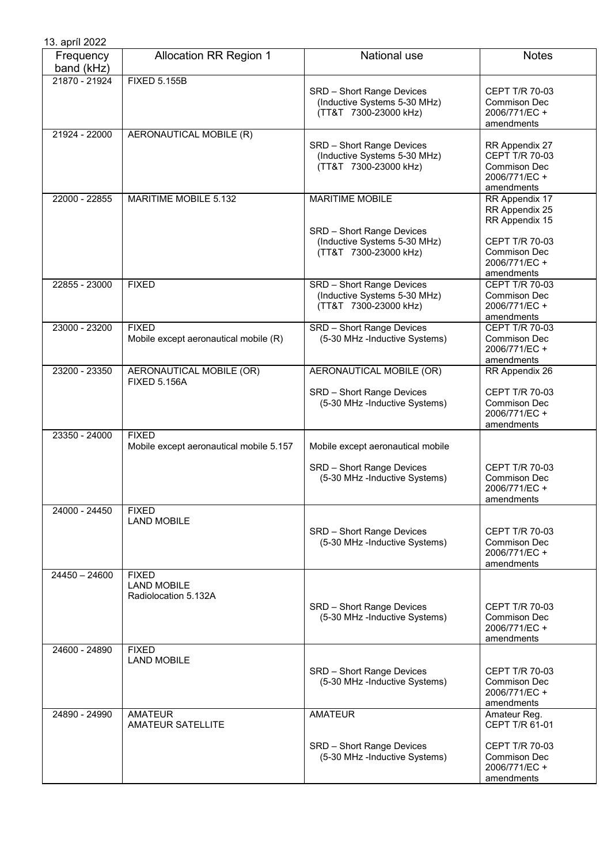| 13. apríl 2022          |                                                            |                                                                                                              |                                                                                                                            |
|-------------------------|------------------------------------------------------------|--------------------------------------------------------------------------------------------------------------|----------------------------------------------------------------------------------------------------------------------------|
| Frequency<br>band (kHz) | <b>Allocation RR Region 1</b>                              | National use                                                                                                 | <b>Notes</b>                                                                                                               |
| 21870 - 21924           | <b>FIXED 5.155B</b>                                        | SRD - Short Range Devices<br>(Inductive Systems 5-30 MHz)<br>(TT&T 7300-23000 kHz)                           | CEPT T/R 70-03<br><b>Commison Dec</b><br>2006/771/EC +<br>amendments                                                       |
| 21924 - 22000           | AERONAUTICAL MOBILE (R)                                    | SRD - Short Range Devices<br>(Inductive Systems 5-30 MHz)<br>(TT&T 7300-23000 kHz)                           | RR Appendix 27<br><b>CEPT T/R 70-03</b><br><b>Commison Dec</b><br>2006/771/EC+<br>amendments                               |
| 22000 - 22855           | MARITIME MOBILE 5.132                                      | <b>MARITIME MOBILE</b><br>SRD - Short Range Devices<br>(Inductive Systems 5-30 MHz)<br>(TT&T 7300-23000 kHz) | RR Appendix 17<br>RR Appendix 25<br>RR Appendix 15<br><b>CEPT T/R 70-03</b><br>Commison Dec<br>2006/771/EC +<br>amendments |
| 22855 - 23000           | <b>FIXED</b>                                               | SRD - Short Range Devices<br>(Inductive Systems 5-30 MHz)<br>(TT&T 7300-23000 kHz)                           | <b>CEPT T/R 70-03</b><br><b>Commison Dec</b><br>2006/771/EC +<br>amendments                                                |
| 23000 - 23200           | <b>FIXED</b><br>Mobile except aeronautical mobile (R)      | <b>SRD</b> - Short Range Devices<br>(5-30 MHz -Inductive Systems)                                            | CEPT T/R 70-03<br>Commison Dec<br>2006/771/EC +<br>amendments                                                              |
| 23200 - 23350           | AERONAUTICAL MOBILE (OR)<br><b>FIXED 5.156A</b>            | AERONAUTICAL MOBILE (OR)<br>SRD - Short Range Devices<br>(5-30 MHz -Inductive Systems)                       | RR Appendix 26<br>CEPT T/R 70-03<br><b>Commison Dec</b><br>2006/771/EC +<br>amendments                                     |
| 23350 - 24000           | <b>FIXED</b><br>Mobile except aeronautical mobile 5.157    | Mobile except aeronautical mobile                                                                            |                                                                                                                            |
|                         |                                                            | SRD - Short Range Devices<br>(5-30 MHz -Inductive Systems)                                                   | CEPT T/R 70-03<br><b>Commison Dec</b><br>2006/771/EC +<br>amendments                                                       |
| 24000 - 24450           | <b>FIXED</b><br><b>LAND MOBILE</b>                         | SRD - Short Range Devices<br>(5-30 MHz -Inductive Systems)                                                   | <b>CEPT T/R 70-03</b><br><b>Commison Dec</b><br>2006/771/EC +<br>amendments                                                |
| $24450 - 24600$         | <b>FIXED</b><br><b>LAND MOBILE</b><br>Radiolocation 5.132A | SRD - Short Range Devices<br>(5-30 MHz -Inductive Systems)                                                   | CEPT T/R 70-03<br><b>Commison Dec</b><br>2006/771/EC +<br>amendments                                                       |
| 24600 - 24890           | <b>FIXED</b><br><b>LAND MOBILE</b>                         | SRD - Short Range Devices<br>(5-30 MHz -Inductive Systems)                                                   | CEPT T/R 70-03<br><b>Commison Dec</b><br>2006/771/EC +<br>amendments                                                       |
| 24890 - 24990           | <b>AMATEUR</b><br><b>AMATEUR SATELLITE</b>                 | <b>AMATEUR</b>                                                                                               | Amateur Reg.<br>CEPT T/R 61-01                                                                                             |
|                         |                                                            | SRD - Short Range Devices<br>(5-30 MHz -Inductive Systems)                                                   | CEPT T/R 70-03<br><b>Commison Dec</b><br>2006/771/EC+<br>amendments                                                        |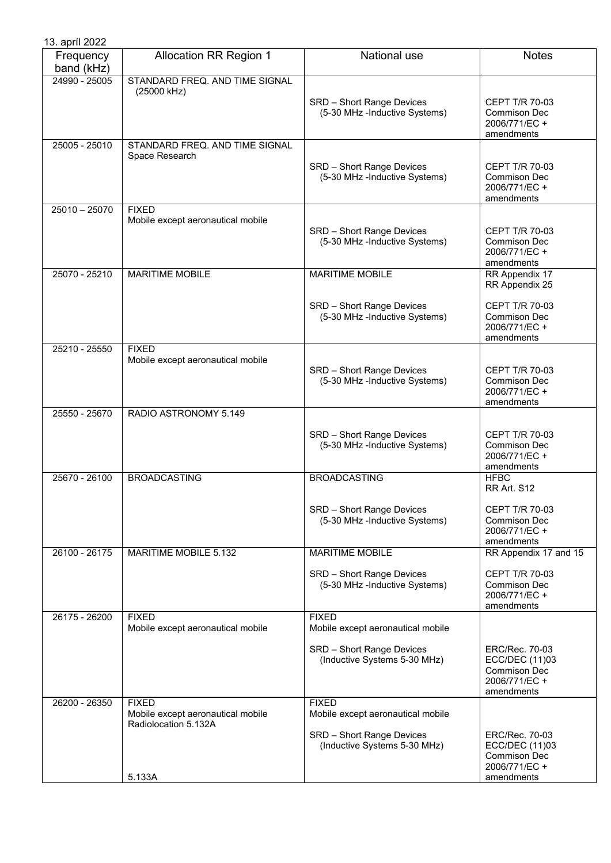| 13. apríl 2022          |                                                                           |                                                            |                                                                                       |
|-------------------------|---------------------------------------------------------------------------|------------------------------------------------------------|---------------------------------------------------------------------------------------|
| Frequency<br>band (kHz) | <b>Allocation RR Region 1</b>                                             | National use                                               | <b>Notes</b>                                                                          |
| 24990 - 25005           | STANDARD FREQ. AND TIME SIGNAL<br>(25000 kHz)                             | SRD - Short Range Devices<br>(5-30 MHz -Inductive Systems) | CEPT T/R 70-03<br>Commison Dec<br>2006/771/EC +<br>amendments                         |
| 25005 - 25010           | STANDARD FREQ. AND TIME SIGNAL<br>Space Research                          | SRD - Short Range Devices<br>(5-30 MHz -Inductive Systems) | CEPT T/R 70-03<br>Commison Dec<br>2006/771/EC +<br>amendments                         |
| $25010 - 25070$         | <b>FIXED</b><br>Mobile except aeronautical mobile                         | SRD - Short Range Devices<br>(5-30 MHz -Inductive Systems) | CEPT T/R 70-03<br>Commison Dec<br>2006/771/EC +<br>amendments                         |
| 25070 - 25210           | <b>MARITIME MOBILE</b>                                                    | <b>MARITIME MOBILE</b>                                     | RR Appendix 17<br>RR Appendix 25                                                      |
|                         |                                                                           | SRD - Short Range Devices<br>(5-30 MHz -Inductive Systems) | CEPT T/R 70-03<br><b>Commison Dec</b><br>2006/771/EC +<br>amendments                  |
| 25210 - 25550           | <b>FIXED</b><br>Mobile except aeronautical mobile                         | SRD - Short Range Devices<br>(5-30 MHz -Inductive Systems) | <b>CEPT T/R 70-03</b><br>Commison Dec<br>2006/771/EC +<br>amendments                  |
| 25550 - 25670           | RADIO ASTRONOMY 5.149                                                     |                                                            |                                                                                       |
|                         |                                                                           | SRD - Short Range Devices<br>(5-30 MHz -Inductive Systems) | CEPT T/R 70-03<br>Commison Dec<br>2006/771/EC +<br>amendments                         |
| 25670 - 26100           | <b>BROADCASTING</b>                                                       | <b>BROADCASTING</b>                                        | <b>HFBC</b><br>RR Art. S12                                                            |
|                         |                                                                           | SRD - Short Range Devices<br>(5-30 MHz -Inductive Systems) | <b>CEPT T/R 70-03</b><br>Commison Dec<br>2006/771/EC+<br>amendments                   |
| 26100 - 26175           | MARITIME MOBILE 5.132                                                     | <b>MARITIME MOBILE</b>                                     | RR Appendix 17 and 15                                                                 |
|                         |                                                                           | SRD - Short Range Devices<br>(5-30 MHz -Inductive Systems) | CEPT T/R 70-03<br>Commison Dec<br>2006/771/EC +<br>amendments                         |
| 26175 - 26200           | <b>FIXED</b><br>Mobile except aeronautical mobile                         | <b>FIXED</b><br>Mobile except aeronautical mobile          |                                                                                       |
|                         |                                                                           | SRD - Short Range Devices<br>(Inductive Systems 5-30 MHz)  | ERC/Rec. 70-03<br>ECC/DEC (11)03<br>Commison Dec<br>2006/771/EC +<br>amendments       |
| 26200 - 26350           | <b>FIXED</b><br>Mobile except aeronautical mobile<br>Radiolocation 5.132A | <b>FIXED</b><br>Mobile except aeronautical mobile          |                                                                                       |
|                         | 5.133A                                                                    | SRD - Short Range Devices<br>(Inductive Systems 5-30 MHz)  | ERC/Rec. 70-03<br>ECC/DEC (11)03<br><b>Commison Dec</b><br>2006/771/EC+<br>amendments |
|                         |                                                                           |                                                            |                                                                                       |